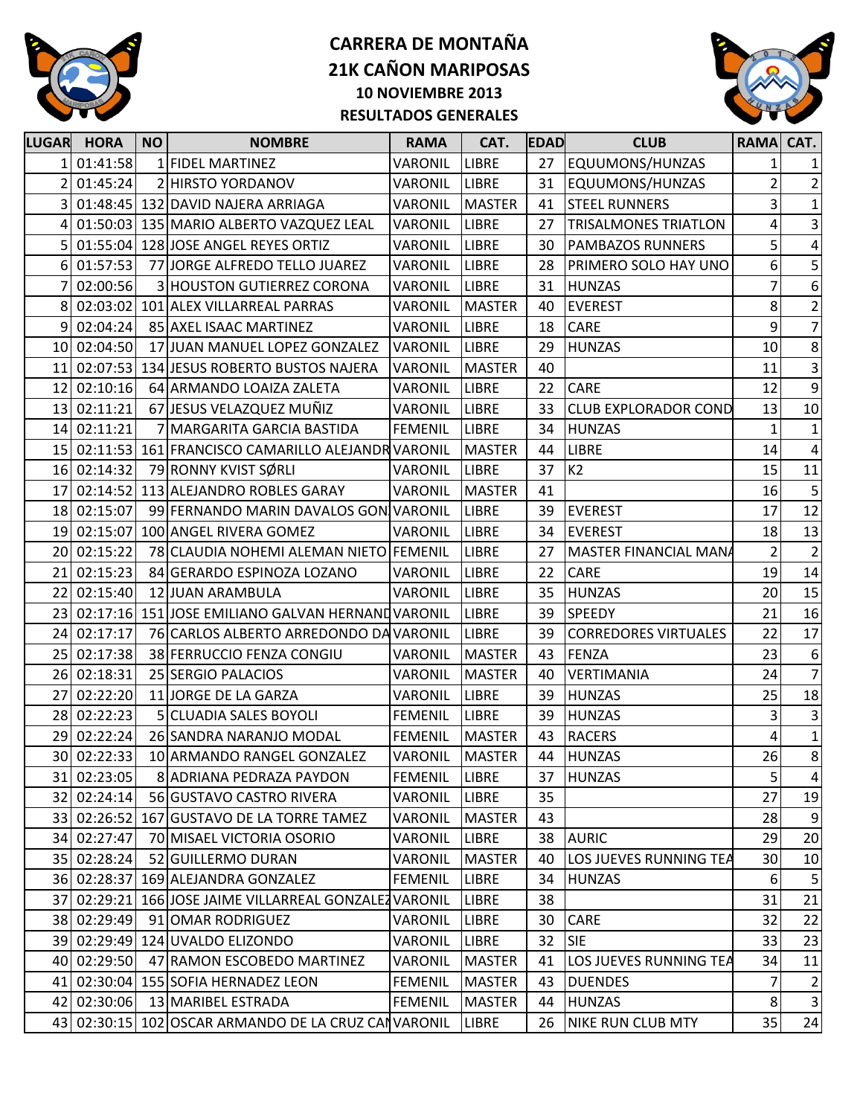



| <b>LUGAR</b> | <b>HORA</b> | <b>NO</b> | <b>NOMBRE</b>                                        | <b>RAMA</b>    | CAT.          | <b>EDAD</b> | <b>CLUB</b>                  | <b>RAMA</b>             | CAT.             |
|--------------|-------------|-----------|------------------------------------------------------|----------------|---------------|-------------|------------------------------|-------------------------|------------------|
|              | 01:41:58    |           | 1 FIDEL MARTINEZ                                     | VARONIL        | <b>LIBRE</b>  | 27          | EQUUMONS/HUNZAS              | 1                       | 1                |
|              | 01:45:24    |           | 2 HIRSTO YORDANOV                                    | VARONIL        | <b>LIBRE</b>  | 31          | EQUUMONS/HUNZAS              | $\overline{2}$          | $\overline{2}$   |
| 3            |             |           | 01:48:45 132 DAVID NAJERA ARRIAGA                    | VARONIL        | <b>MASTER</b> | 41          | <b>STEEL RUNNERS</b>         | $\overline{\mathbf{3}}$ | $\mathbf{1}$     |
| 4            |             |           | 01:50:03 135 MARIO ALBERTO VAZQUEZ LEAL              | VARONIL        | <b>LIBRE</b>  | 27          | <b>TRISALMONES TRIATLON</b>  | 4                       | $\vert$ 3        |
|              |             |           | 01:55:04 128 JOSE ANGEL REYES ORTIZ                  | VARONIL        | LIBRE         | 30          | <b>PAMBAZOS RUNNERS</b>      | $\mathsf{5}$            | $\pmb{4}$        |
| $6 \mid$     | 01:57:53    |           | 77 JORGE ALFREDO TELLO JUAREZ                        | VARONIL        | <b>LIBRE</b>  | 28          | PRIMERO SOLO HAY UNO         | 6                       | $\sf 5$          |
|              | 02:00:56    |           | 3 HOUSTON GUTIERREZ CORONA                           | VARONIL        | LIBRE         | 31          | <b>HUNZAS</b>                | 7                       | $\boldsymbol{6}$ |
| 8            |             |           | 02:03:02 101 ALEX VILLARREAL PARRAS                  | VARONIL        | <b>MASTER</b> | 40          | <b>EVEREST</b>               | 8                       | $\mathbf{2}$     |
| 9            | 02:04:24    |           | 85 AXEL ISAAC MARTINEZ                               | VARONIL        | <b>LIBRE</b>  | 18          | <b>CARE</b>                  | 9                       | $\overline{7}$   |
|              | 10 02:04:50 |           | 17 JUAN MANUEL LOPEZ GONZALEZ VARONIL                |                | <b>LIBRE</b>  | 29          | <b>HUNZAS</b>                | $10\,$                  | $\bf 8$          |
| 11           |             |           | 02:07:53 134 JESUS ROBERTO BUSTOS NAJERA             | <b>VARONIL</b> | <b>MASTER</b> | 40          |                              | 11                      | $\vert$ 3        |
| 12           | 02:10:16    |           | 64 ARMANDO LOAIZA ZALETA                             | VARONIL        | LIBRE         | 22          | <b>CARE</b>                  | 12                      | $\boldsymbol{9}$ |
| 13           | 02:11:21    |           | 67 JESUS VELAZQUEZ MUÑIZ                             | VARONIL        | <b>LIBRE</b>  | 33          | <b>CLUB EXPLORADOR COND</b>  | 13                      | 10               |
| 14           | 02:11:21    |           | 7 MARGARITA GARCIA BASTIDA                           | <b>FEMENIL</b> | <b>LIBRE</b>  | 34          | <b>HUNZAS</b>                | $\mathbf{1}$            | 1                |
|              |             |           | 15 02:11:53 161 FRANCISCO CAMARILLO ALEJANDR VARONIL |                | <b>MASTER</b> | 44          | <b>LIBRE</b>                 | 14                      | $\pmb{4}$        |
|              | 16 02:14:32 |           | 79 RONNY KVIST SØRLI                                 | VARONIL        | <b>LIBRE</b>  | 37          | K2                           | 15                      | 11               |
| 17           |             |           | 02:14:52 113 ALEJANDRO ROBLES GARAY                  | VARONIL        | <b>MASTER</b> | 41          |                              | 16                      | 5                |
|              | 18 02:15:07 |           | 99 FERNANDO MARIN DAVALOS GON VARONIL                |                | <b>LIBRE</b>  | 39          | <b>EVEREST</b>               | 17                      | 12               |
| 19           | 02:15:07    |           | 100 ANGEL RIVERA GOMEZ                               | VARONIL        | <b>LIBRE</b>  | 34          | <b>EVEREST</b>               | 18                      | 13               |
| 20           | 02:15:22    |           | 78 CLAUDIA NOHEMI ALEMAN NIETO FEMENIL               |                | <b>LIBRE</b>  | 27          | <b>MASTER FINANCIAL MANA</b> | $\overline{2}$          | $\overline{2}$   |
| 21           | 02:15:23    |           | 84 GERARDO ESPINOZA LOZANO                           | VARONIL        | LIBRE         | 22          | CARE                         | 19                      | 14               |
| 22           | 02:15:40    |           | 12 JUAN ARAMBULA                                     | <b>VARONIL</b> | <b>LIBRE</b>  | 35          | <b>HUNZAS</b>                | 20                      | 15               |
| 23           |             |           | 02:17:16 151 JOSE EMILIANO GALVAN HERNAND VARONIL    |                | <b>LIBRE</b>  | 39          | <b>SPEEDY</b>                | 21                      | 16               |
| 24           | 02:17:17    |           | 76 CARLOS ALBERTO ARREDONDO DA VARONIL               |                | <b>LIBRE</b>  | 39          | <b>CORREDORES VIRTUALES</b>  | 22                      | 17               |
| 25           | 02:17:38    |           | 38 FERRUCCIO FENZA CONGIU                            | VARONIL        | <b>MASTER</b> | 43          | <b>FENZA</b>                 | 23                      | $6 \mid$         |
| 26           | 02:18:31    |           | 25 SERGIO PALACIOS                                   | VARONIL        | <b>MASTER</b> | 40          | VERTIMANIA                   | 24                      | $\overline{7}$   |
| 27           | 02:22:20    |           | 11 JORGE DE LA GARZA                                 | VARONIL        | LIBRE         | 39          | <b>HUNZAS</b>                | 25                      | 18               |
| 28           | 02:22:23    |           | 5 CLUADIA SALES BOYOLI                               | <b>FEMENIL</b> | <b>LIBRE</b>  | 39          | <b>HUNZAS</b>                | 3                       | $\overline{3}$   |
| 29           | 02:22:24    |           | 26 SANDRA NARANJO MODAL                              | <b>FEMENIL</b> | <b>MASTER</b> | 43          | <b>RACERS</b>                | 4                       | $\mathbf{1}$     |
|              | 30 02:22:33 |           | 10 ARMANDO RANGEL GONZALEZ                           | <b>VARONIL</b> | <b>MASTER</b> | 44          | <b>HUNZAS</b>                | 26                      | 8 <sup>1</sup>   |
|              | 31 02:23:05 |           | 8 ADRIANA PEDRAZA PAYDON                             | FEMENIL        | <b>LIBRE</b>  | 37          | <b>HUNZAS</b>                | 5 <sup>1</sup>          | $\vert$          |
|              | 32 02:24:14 |           | 56 GUSTAVO CASTRO RIVERA                             | VARONIL        | <b>LIBRE</b>  | 35          |                              | 27                      | 19               |
|              |             |           | 33 02:26:52 167 GUSTAVO DE LA TORRE TAMEZ            | VARONIL        | <b>MASTER</b> | 43          |                              | 28                      | 9                |
|              | 34 02:27:47 |           | 70 MISAEL VICTORIA OSORIO                            | VARONIL        | <b>LIBRE</b>  | 38          | <b>AURIC</b>                 | 29                      | 20               |
|              | 35 02:28:24 |           | 52 GUILLERMO DURAN                                   | VARONIL        | <b>MASTER</b> | 40          | LOS JUEVES RUNNING TEA       | 30                      | 10               |
|              |             |           | 36 02:28:37 169 ALEJANDRA GONZALEZ                   | <b>FEMENIL</b> | LIBRE         | 34          | <b>HUNZAS</b>                | 6 <sup>1</sup>          | 5                |
| 37           |             |           | 02:29:21 166 JOSE JAIME VILLARREAL GONZALEZ VARONIL  |                | LIBRE         | 38          |                              | 31                      | 21               |
|              | 38 02:29:49 |           | 91 OMAR RODRIGUEZ                                    | VARONIL        | LIBRE         | 30          | CARE                         | 32                      | 22               |
| 39           |             |           | 02:29:49 124 UVALDO ELIZONDO                         | VARONIL        | <b>LIBRE</b>  | 32          | <b>SIE</b>                   | 33                      | 23               |
| 40           | 02:29:50    |           | 47 RAMON ESCOBEDO MARTINEZ                           | VARONIL        | <b>MASTER</b> | 41          | LOS JUEVES RUNNING TEA       | 34                      | 11               |
| 41           |             |           | 02:30:04 155 SOFIA HERNADEZ LEON                     | <b>FEMENIL</b> | <b>MASTER</b> | 43          | <b>DUENDES</b>               | 7                       | $\mathbf{2}$     |
| 42           | 02:30:06    |           | 13 MARIBEL ESTRADA                                   | <b>FEMENIL</b> | <b>MASTER</b> | 44          | <b>HUNZAS</b>                | 8 <sup>1</sup>          | $\vert 3 \vert$  |
| 43           |             |           | 02:30:15 102 OSCAR ARMANDO DE LA CRUZ CANVARONIL     |                | LIBRE         | 26          | <b>NIKE RUN CLUB MTY</b>     | 35                      | 24               |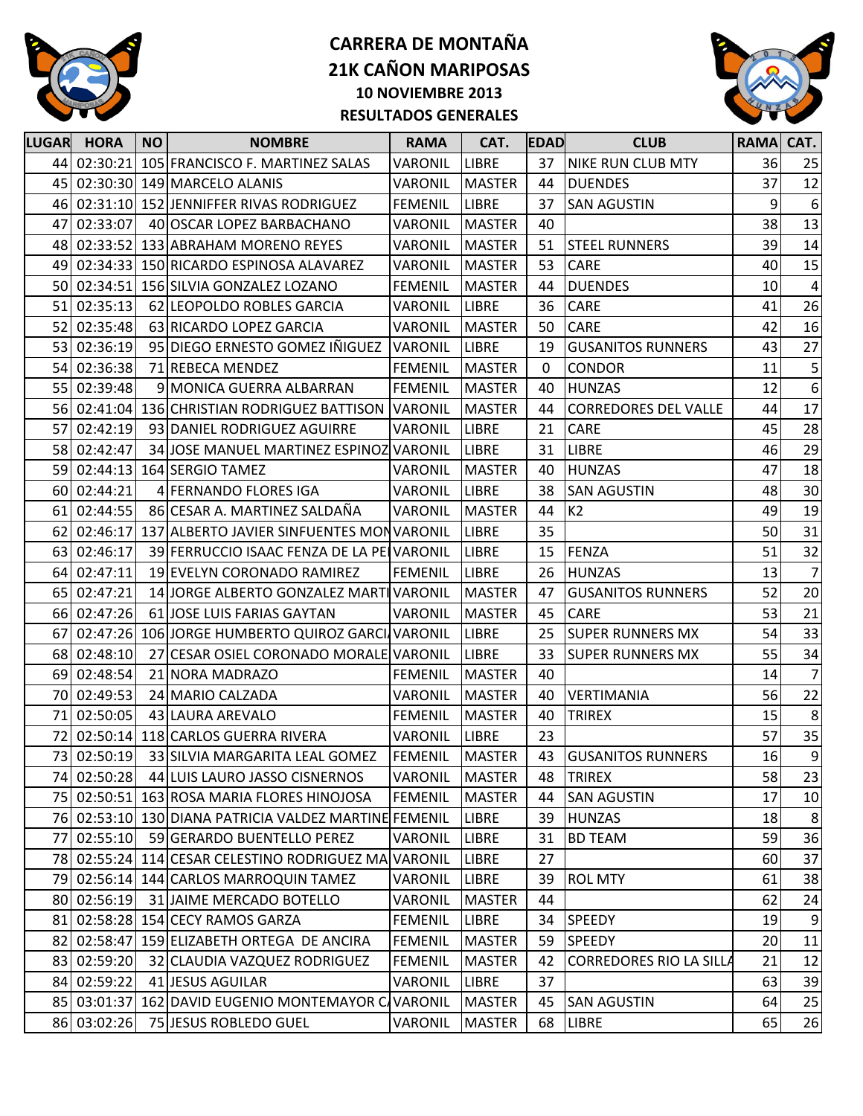



| 44 02:30:21<br>105 FRANCISCO F. MARTINEZ SALAS<br><b>LIBRE</b><br><b>NIKE RUN CLUB MTY</b><br>36<br>VARONIL<br>37<br>25<br>45 02:30:30 149 MARCELO ALANIS<br><b>MASTER</b><br>37<br>12<br><b>VARONIL</b><br>44<br><b>DUENDES</b><br>9<br>46 02:31:10 152 JENNIFFER RIVAS RODRIGUEZ<br><b>FEMENIL</b><br><b>LIBRE</b><br>37<br><b>SAN AGUSTIN</b><br>6<br>38<br>13<br>02:33:07<br>40<br>40 OSCAR LOPEZ BARBACHANO<br>VARONIL<br><b>MASTER</b><br>47<br>14<br>39<br>02:33:52 133 ABRAHAM MORENO REYES<br>51<br>48<br>VARONIL<br><b>MASTER</b><br><b>STEEL RUNNERS</b><br>15<br>02:34:33<br>150 RICARDO ESPINOSA ALAVAREZ<br>VARONIL<br><b>MASTER</b><br>53<br><b>CARE</b><br>40<br>49<br>10<br>50<br>02:34:51<br>156 SILVIA GONZALEZ LOZANO<br><b>FEMENIL</b><br><b>MASTER</b><br>44<br><b>DUENDES</b><br>4<br>02:35:13<br>41<br>51<br>62 LEOPOLDO ROBLES GARCIA<br>VARONIL<br><b>LIBRE</b><br>36<br><b>CARE</b><br>02:35:48<br>50<br><b>CARE</b><br>42<br>16<br>52<br>63 RICARDO LOPEZ GARCIA<br>VARONIL<br><b>MASTER</b><br>27<br>53 02:36:19<br>95 DIEGO ERNESTO GOMEZ IÑIGUEZ VARONIL<br>43<br><b>LIBRE</b><br><b>GUSANITOS RUNNERS</b><br>19<br>$\overline{5}$<br>54 02:36:38<br><b>FEMENIL</b><br>71 REBECA MENDEZ<br><b>MASTER</b><br><b>CONDOR</b><br>11<br>$\Omega$<br>$6 \overline{6}$<br>55<br>02:39:48<br><b>FEMENIL</b><br>12<br>9 MONICA GUERRA ALBARRAN<br><b>MASTER</b><br>40<br><b>HUNZAS</b><br>17<br>44<br>02:41:04<br>136 CHRISTIAN RODRIGUEZ BATTISON<br><b>VARONIL</b><br><b>MASTER</b><br>44<br><b>CORREDORES DEL VALLE</b><br>56<br>28<br>02:42:19<br><b>LIBRE</b><br>21<br>CARE<br>45<br>57<br>93 DANIEL RODRIGUEZ AGUIRRE<br><b>VARONIL</b><br>29<br>58<br>02:42:47<br><b>LIBRE</b><br>46<br>34 JOSE MANUEL MARTINEZ ESPINOZ VARONIL<br><b>LIBRE</b><br>31<br>47<br>18<br>59 02:44:13<br>40<br><b>HUNZAS</b><br>164 SERGIO TAMEZ<br>VARONIL<br><b>MASTER</b><br>30<br>02:44:21<br>38<br>48<br>60<br>4 FERNANDO FLORES IGA<br>VARONIL<br><b>LIBRE</b><br><b>SAN AGUSTIN</b><br>19<br>86 CESAR A. MARTINEZ SALDAÑA<br>K <sub>2</sub><br>02:44:55<br><b>VARONIL</b><br><b>MASTER</b><br>44<br>49<br>61<br>31<br>02:46:17<br><b>LIBRE</b><br>35<br>50<br>62<br>137 ALBERTO JAVIER SINFUENTES MONVARONIL<br>32<br>51<br>02:46:17<br><b>LIBRE</b><br><b>FENZA</b><br>63<br>39 FERRUCCIO ISAAC FENZA DE LA PELVARONIL<br>15<br>02:47:11<br>26<br>13<br>19 EVELYN CORONADO RAMIREZ<br><b>FEMENIL</b><br><b>LIBRE</b><br><b>HUNZAS</b><br>64 I<br>20 <sup>°</sup><br>52<br>65<br>02:47:21<br>14 JORGE ALBERTO GONZALEZ MARTIVARONIL<br><b>MASTER</b><br>47<br><b>GUSANITOS RUNNERS</b><br>21<br>53<br>02:47:26<br>61 JOSE LUIS FARIAS GAYTAN<br>45<br><b>CARE</b><br>66<br>VARONIL<br><b>MASTER</b><br>33<br>54<br>02:47:26<br><b>LIBRE</b><br>25<br>67<br>106 JORGE HUMBERTO QUIROZ GARCI VARONIL<br><b>SUPER RUNNERS MX</b><br>34<br>02:48:10<br>55<br>27 CESAR OSIEL CORONADO MORALE VARONIL<br><b>LIBRE</b><br>33<br><b>SUPER RUNNERS MX</b><br>68<br>$\overline{7}$<br>02:48:54<br>14<br>69<br>21 NORA MADRAZO<br><b>FEMENIL</b><br><b>MASTER</b><br>40<br>22<br>56<br>02:49:53<br>70<br>24 MARIO CALZADA<br>VARONIL<br><b>MASTER</b><br>40<br><b>VERTIMANIA</b><br>15<br>8<br>02:50:05<br>71<br>43 LAURA AREVALO<br><b>FEMENIL</b><br><b>MASTER</b><br>40<br><b>TRIREX</b><br>35<br>57<br>72 02:50:14 118 CARLOS GUERRA RIVERA<br>23<br>VARONIL<br><b>LIBRE</b><br>73<br>02:50:19<br>33 SILVIA MARGARITA LEAL GOMEZ<br>FEMENIL<br><b>MASTER</b><br>43<br>16<br><b>GUSANITOS RUNNERS</b><br>74 02:50:28<br>58<br>44 LUIS LAURO JASSO CISNERNOS<br>VARONIL<br><b>MASTER</b><br><b>TRIREX</b><br>48<br>75 02:50:51 163 ROSA MARIA FLORES HINOJOSA<br>17<br><b>FEMENIL</b><br><b>MASTER</b><br><b>SAN AGUSTIN</b><br>$10\,$<br>44<br>76 02:53:10 130 DIANA PATRICIA VALDEZ MARTINE FEMENIL<br>8 <sup>°</sup><br><b>LIBRE</b><br>39<br><b>HUNZAS</b><br>18<br>36<br>59<br>02:55:10<br>59 GERARDO BUENTELLO PEREZ<br>VARONIL<br><b>LIBRE</b><br>31<br><b>BD TEAM</b><br>77<br>27<br>37<br>78 02:55:24 114 CESAR CELESTINO RODRIGUEZ MA VARONIL<br><b>LIBRE</b><br>60<br>38<br>79 02:56:14 144 CARLOS MARROQUIN TAMEZ<br>VARONIL<br><b>LIBRE</b><br>39<br><b>ROL MTY</b><br>61<br>80 02:56:19<br>31 JAIME MERCADO BOTELLO<br>VARONIL<br><b>MASTER</b><br>44<br>62<br>24<br>$\overline{9}$<br>02:58:28 154 CECY RAMOS GARZA<br><b>FEMENIL</b><br><b>SPEEDY</b><br>81<br><b>LIBRE</b><br>34<br>19<br>11<br>02:58:47<br>159 ELIZABETH ORTEGA DE ANCIRA<br><b>FEMENIL</b><br><b>SPEEDY</b><br>20<br>82<br><b>MASTER</b><br>59<br>83 02:59:20<br>21<br>12<br>32 CLAUDIA VAZQUEZ RODRIGUEZ<br><b>FEMENIL</b><br><b>MASTER</b><br>42<br><b>CORREDORES RIO LA SILLA</b><br>63<br>84 02:59:22<br>39<br>41 JESUS AGUILAR<br>VARONIL<br>37<br>LIBRE<br>85 03:01:37<br>162 DAVID EUGENIO MONTEMAYOR CAVARONIL<br>64<br>25<br><b>MASTER</b><br>45<br><b>SAN AGUSTIN</b><br>86 03:02:26<br>75 JESUS ROBLEDO GUEL | <b>LUGAR</b> | <b>HORA</b> | <b>NO</b> | <b>NOMBRE</b> | <b>RAMA</b> | CAT.          | <b>EDAD</b> | <b>CLUB</b>  | RAMA CAT. |    |
|------------------------------------------------------------------------------------------------------------------------------------------------------------------------------------------------------------------------------------------------------------------------------------------------------------------------------------------------------------------------------------------------------------------------------------------------------------------------------------------------------------------------------------------------------------------------------------------------------------------------------------------------------------------------------------------------------------------------------------------------------------------------------------------------------------------------------------------------------------------------------------------------------------------------------------------------------------------------------------------------------------------------------------------------------------------------------------------------------------------------------------------------------------------------------------------------------------------------------------------------------------------------------------------------------------------------------------------------------------------------------------------------------------------------------------------------------------------------------------------------------------------------------------------------------------------------------------------------------------------------------------------------------------------------------------------------------------------------------------------------------------------------------------------------------------------------------------------------------------------------------------------------------------------------------------------------------------------------------------------------------------------------------------------------------------------------------------------------------------------------------------------------------------------------------------------------------------------------------------------------------------------------------------------------------------------------------------------------------------------------------------------------------------------------------------------------------------------------------------------------------------------------------------------------------------------------------------------------------------------------------------------------------------------------------------------------------------------------------------------------------------------------------------------------------------------------------------------------------------------------------------------------------------------------------------------------------------------------------------------------------------------------------------------------------------------------------------------------------------------------------------------------------------------------------------------------------------------------------------------------------------------------------------------------------------------------------------------------------------------------------------------------------------------------------------------------------------------------------------------------------------------------------------------------------------------------------------------------------------------------------------------------------------------------------------------------------------------------------------------------------------------------------------------------------------------------------------------------------------------------------------------------------------------------------------------------------------------------------------------------------------------------------------------------------------------------------------------------------------------------------------------------------------------------------------------------------------------------------------------------------------------------------------------------------------------------------------------------------------------------------------------------------------------------------------------------------------------------------------------------------------------------------------------------------------------------------------------------------------------------------------------------------------------------------------------------------------------------------------------------------------------------------------------------------------------------------------------------------------------------------------------------------------------|--------------|-------------|-----------|---------------|-------------|---------------|-------------|--------------|-----------|----|
| 26<br>7<br>$\overline{9}$<br>23                                                                                                                                                                                                                                                                                                                                                                                                                                                                                                                                                                                                                                                                                                                                                                                                                                                                                                                                                                                                                                                                                                                                                                                                                                                                                                                                                                                                                                                                                                                                                                                                                                                                                                                                                                                                                                                                                                                                                                                                                                                                                                                                                                                                                                                                                                                                                                                                                                                                                                                                                                                                                                                                                                                                                                                                                                                                                                                                                                                                                                                                                                                                                                                                                                                                                                                                                                                                                                                                                                                                                                                                                                                                                                                                                                                                                                                                                                                                                                                                                                                                                                                                                                                                                                                                                                                                                                                                                                                                                                                                                                                                                                                                                                                                                                                                                                                                                  |              |             |           |               |             |               |             |              |           |    |
|                                                                                                                                                                                                                                                                                                                                                                                                                                                                                                                                                                                                                                                                                                                                                                                                                                                                                                                                                                                                                                                                                                                                                                                                                                                                                                                                                                                                                                                                                                                                                                                                                                                                                                                                                                                                                                                                                                                                                                                                                                                                                                                                                                                                                                                                                                                                                                                                                                                                                                                                                                                                                                                                                                                                                                                                                                                                                                                                                                                                                                                                                                                                                                                                                                                                                                                                                                                                                                                                                                                                                                                                                                                                                                                                                                                                                                                                                                                                                                                                                                                                                                                                                                                                                                                                                                                                                                                                                                                                                                                                                                                                                                                                                                                                                                                                                                                                                                                  |              |             |           |               |             |               |             |              |           |    |
|                                                                                                                                                                                                                                                                                                                                                                                                                                                                                                                                                                                                                                                                                                                                                                                                                                                                                                                                                                                                                                                                                                                                                                                                                                                                                                                                                                                                                                                                                                                                                                                                                                                                                                                                                                                                                                                                                                                                                                                                                                                                                                                                                                                                                                                                                                                                                                                                                                                                                                                                                                                                                                                                                                                                                                                                                                                                                                                                                                                                                                                                                                                                                                                                                                                                                                                                                                                                                                                                                                                                                                                                                                                                                                                                                                                                                                                                                                                                                                                                                                                                                                                                                                                                                                                                                                                                                                                                                                                                                                                                                                                                                                                                                                                                                                                                                                                                                                                  |              |             |           |               |             |               |             |              |           |    |
|                                                                                                                                                                                                                                                                                                                                                                                                                                                                                                                                                                                                                                                                                                                                                                                                                                                                                                                                                                                                                                                                                                                                                                                                                                                                                                                                                                                                                                                                                                                                                                                                                                                                                                                                                                                                                                                                                                                                                                                                                                                                                                                                                                                                                                                                                                                                                                                                                                                                                                                                                                                                                                                                                                                                                                                                                                                                                                                                                                                                                                                                                                                                                                                                                                                                                                                                                                                                                                                                                                                                                                                                                                                                                                                                                                                                                                                                                                                                                                                                                                                                                                                                                                                                                                                                                                                                                                                                                                                                                                                                                                                                                                                                                                                                                                                                                                                                                                                  |              |             |           |               |             |               |             |              |           |    |
|                                                                                                                                                                                                                                                                                                                                                                                                                                                                                                                                                                                                                                                                                                                                                                                                                                                                                                                                                                                                                                                                                                                                                                                                                                                                                                                                                                                                                                                                                                                                                                                                                                                                                                                                                                                                                                                                                                                                                                                                                                                                                                                                                                                                                                                                                                                                                                                                                                                                                                                                                                                                                                                                                                                                                                                                                                                                                                                                                                                                                                                                                                                                                                                                                                                                                                                                                                                                                                                                                                                                                                                                                                                                                                                                                                                                                                                                                                                                                                                                                                                                                                                                                                                                                                                                                                                                                                                                                                                                                                                                                                                                                                                                                                                                                                                                                                                                                                                  |              |             |           |               |             |               |             |              |           |    |
|                                                                                                                                                                                                                                                                                                                                                                                                                                                                                                                                                                                                                                                                                                                                                                                                                                                                                                                                                                                                                                                                                                                                                                                                                                                                                                                                                                                                                                                                                                                                                                                                                                                                                                                                                                                                                                                                                                                                                                                                                                                                                                                                                                                                                                                                                                                                                                                                                                                                                                                                                                                                                                                                                                                                                                                                                                                                                                                                                                                                                                                                                                                                                                                                                                                                                                                                                                                                                                                                                                                                                                                                                                                                                                                                                                                                                                                                                                                                                                                                                                                                                                                                                                                                                                                                                                                                                                                                                                                                                                                                                                                                                                                                                                                                                                                                                                                                                                                  |              |             |           |               |             |               |             |              |           |    |
|                                                                                                                                                                                                                                                                                                                                                                                                                                                                                                                                                                                                                                                                                                                                                                                                                                                                                                                                                                                                                                                                                                                                                                                                                                                                                                                                                                                                                                                                                                                                                                                                                                                                                                                                                                                                                                                                                                                                                                                                                                                                                                                                                                                                                                                                                                                                                                                                                                                                                                                                                                                                                                                                                                                                                                                                                                                                                                                                                                                                                                                                                                                                                                                                                                                                                                                                                                                                                                                                                                                                                                                                                                                                                                                                                                                                                                                                                                                                                                                                                                                                                                                                                                                                                                                                                                                                                                                                                                                                                                                                                                                                                                                                                                                                                                                                                                                                                                                  |              |             |           |               |             |               |             |              |           |    |
|                                                                                                                                                                                                                                                                                                                                                                                                                                                                                                                                                                                                                                                                                                                                                                                                                                                                                                                                                                                                                                                                                                                                                                                                                                                                                                                                                                                                                                                                                                                                                                                                                                                                                                                                                                                                                                                                                                                                                                                                                                                                                                                                                                                                                                                                                                                                                                                                                                                                                                                                                                                                                                                                                                                                                                                                                                                                                                                                                                                                                                                                                                                                                                                                                                                                                                                                                                                                                                                                                                                                                                                                                                                                                                                                                                                                                                                                                                                                                                                                                                                                                                                                                                                                                                                                                                                                                                                                                                                                                                                                                                                                                                                                                                                                                                                                                                                                                                                  |              |             |           |               |             |               |             |              |           |    |
|                                                                                                                                                                                                                                                                                                                                                                                                                                                                                                                                                                                                                                                                                                                                                                                                                                                                                                                                                                                                                                                                                                                                                                                                                                                                                                                                                                                                                                                                                                                                                                                                                                                                                                                                                                                                                                                                                                                                                                                                                                                                                                                                                                                                                                                                                                                                                                                                                                                                                                                                                                                                                                                                                                                                                                                                                                                                                                                                                                                                                                                                                                                                                                                                                                                                                                                                                                                                                                                                                                                                                                                                                                                                                                                                                                                                                                                                                                                                                                                                                                                                                                                                                                                                                                                                                                                                                                                                                                                                                                                                                                                                                                                                                                                                                                                                                                                                                                                  |              |             |           |               |             |               |             |              |           |    |
|                                                                                                                                                                                                                                                                                                                                                                                                                                                                                                                                                                                                                                                                                                                                                                                                                                                                                                                                                                                                                                                                                                                                                                                                                                                                                                                                                                                                                                                                                                                                                                                                                                                                                                                                                                                                                                                                                                                                                                                                                                                                                                                                                                                                                                                                                                                                                                                                                                                                                                                                                                                                                                                                                                                                                                                                                                                                                                                                                                                                                                                                                                                                                                                                                                                                                                                                                                                                                                                                                                                                                                                                                                                                                                                                                                                                                                                                                                                                                                                                                                                                                                                                                                                                                                                                                                                                                                                                                                                                                                                                                                                                                                                                                                                                                                                                                                                                                                                  |              |             |           |               |             |               |             |              |           |    |
|                                                                                                                                                                                                                                                                                                                                                                                                                                                                                                                                                                                                                                                                                                                                                                                                                                                                                                                                                                                                                                                                                                                                                                                                                                                                                                                                                                                                                                                                                                                                                                                                                                                                                                                                                                                                                                                                                                                                                                                                                                                                                                                                                                                                                                                                                                                                                                                                                                                                                                                                                                                                                                                                                                                                                                                                                                                                                                                                                                                                                                                                                                                                                                                                                                                                                                                                                                                                                                                                                                                                                                                                                                                                                                                                                                                                                                                                                                                                                                                                                                                                                                                                                                                                                                                                                                                                                                                                                                                                                                                                                                                                                                                                                                                                                                                                                                                                                                                  |              |             |           |               |             |               |             |              |           |    |
|                                                                                                                                                                                                                                                                                                                                                                                                                                                                                                                                                                                                                                                                                                                                                                                                                                                                                                                                                                                                                                                                                                                                                                                                                                                                                                                                                                                                                                                                                                                                                                                                                                                                                                                                                                                                                                                                                                                                                                                                                                                                                                                                                                                                                                                                                                                                                                                                                                                                                                                                                                                                                                                                                                                                                                                                                                                                                                                                                                                                                                                                                                                                                                                                                                                                                                                                                                                                                                                                                                                                                                                                                                                                                                                                                                                                                                                                                                                                                                                                                                                                                                                                                                                                                                                                                                                                                                                                                                                                                                                                                                                                                                                                                                                                                                                                                                                                                                                  |              |             |           |               |             |               |             |              |           |    |
|                                                                                                                                                                                                                                                                                                                                                                                                                                                                                                                                                                                                                                                                                                                                                                                                                                                                                                                                                                                                                                                                                                                                                                                                                                                                                                                                                                                                                                                                                                                                                                                                                                                                                                                                                                                                                                                                                                                                                                                                                                                                                                                                                                                                                                                                                                                                                                                                                                                                                                                                                                                                                                                                                                                                                                                                                                                                                                                                                                                                                                                                                                                                                                                                                                                                                                                                                                                                                                                                                                                                                                                                                                                                                                                                                                                                                                                                                                                                                                                                                                                                                                                                                                                                                                                                                                                                                                                                                                                                                                                                                                                                                                                                                                                                                                                                                                                                                                                  |              |             |           |               |             |               |             |              |           |    |
|                                                                                                                                                                                                                                                                                                                                                                                                                                                                                                                                                                                                                                                                                                                                                                                                                                                                                                                                                                                                                                                                                                                                                                                                                                                                                                                                                                                                                                                                                                                                                                                                                                                                                                                                                                                                                                                                                                                                                                                                                                                                                                                                                                                                                                                                                                                                                                                                                                                                                                                                                                                                                                                                                                                                                                                                                                                                                                                                                                                                                                                                                                                                                                                                                                                                                                                                                                                                                                                                                                                                                                                                                                                                                                                                                                                                                                                                                                                                                                                                                                                                                                                                                                                                                                                                                                                                                                                                                                                                                                                                                                                                                                                                                                                                                                                                                                                                                                                  |              |             |           |               |             |               |             |              |           |    |
|                                                                                                                                                                                                                                                                                                                                                                                                                                                                                                                                                                                                                                                                                                                                                                                                                                                                                                                                                                                                                                                                                                                                                                                                                                                                                                                                                                                                                                                                                                                                                                                                                                                                                                                                                                                                                                                                                                                                                                                                                                                                                                                                                                                                                                                                                                                                                                                                                                                                                                                                                                                                                                                                                                                                                                                                                                                                                                                                                                                                                                                                                                                                                                                                                                                                                                                                                                                                                                                                                                                                                                                                                                                                                                                                                                                                                                                                                                                                                                                                                                                                                                                                                                                                                                                                                                                                                                                                                                                                                                                                                                                                                                                                                                                                                                                                                                                                                                                  |              |             |           |               |             |               |             |              |           |    |
|                                                                                                                                                                                                                                                                                                                                                                                                                                                                                                                                                                                                                                                                                                                                                                                                                                                                                                                                                                                                                                                                                                                                                                                                                                                                                                                                                                                                                                                                                                                                                                                                                                                                                                                                                                                                                                                                                                                                                                                                                                                                                                                                                                                                                                                                                                                                                                                                                                                                                                                                                                                                                                                                                                                                                                                                                                                                                                                                                                                                                                                                                                                                                                                                                                                                                                                                                                                                                                                                                                                                                                                                                                                                                                                                                                                                                                                                                                                                                                                                                                                                                                                                                                                                                                                                                                                                                                                                                                                                                                                                                                                                                                                                                                                                                                                                                                                                                                                  |              |             |           |               |             |               |             |              |           |    |
|                                                                                                                                                                                                                                                                                                                                                                                                                                                                                                                                                                                                                                                                                                                                                                                                                                                                                                                                                                                                                                                                                                                                                                                                                                                                                                                                                                                                                                                                                                                                                                                                                                                                                                                                                                                                                                                                                                                                                                                                                                                                                                                                                                                                                                                                                                                                                                                                                                                                                                                                                                                                                                                                                                                                                                                                                                                                                                                                                                                                                                                                                                                                                                                                                                                                                                                                                                                                                                                                                                                                                                                                                                                                                                                                                                                                                                                                                                                                                                                                                                                                                                                                                                                                                                                                                                                                                                                                                                                                                                                                                                                                                                                                                                                                                                                                                                                                                                                  |              |             |           |               |             |               |             |              |           |    |
|                                                                                                                                                                                                                                                                                                                                                                                                                                                                                                                                                                                                                                                                                                                                                                                                                                                                                                                                                                                                                                                                                                                                                                                                                                                                                                                                                                                                                                                                                                                                                                                                                                                                                                                                                                                                                                                                                                                                                                                                                                                                                                                                                                                                                                                                                                                                                                                                                                                                                                                                                                                                                                                                                                                                                                                                                                                                                                                                                                                                                                                                                                                                                                                                                                                                                                                                                                                                                                                                                                                                                                                                                                                                                                                                                                                                                                                                                                                                                                                                                                                                                                                                                                                                                                                                                                                                                                                                                                                                                                                                                                                                                                                                                                                                                                                                                                                                                                                  |              |             |           |               |             |               |             |              |           |    |
|                                                                                                                                                                                                                                                                                                                                                                                                                                                                                                                                                                                                                                                                                                                                                                                                                                                                                                                                                                                                                                                                                                                                                                                                                                                                                                                                                                                                                                                                                                                                                                                                                                                                                                                                                                                                                                                                                                                                                                                                                                                                                                                                                                                                                                                                                                                                                                                                                                                                                                                                                                                                                                                                                                                                                                                                                                                                                                                                                                                                                                                                                                                                                                                                                                                                                                                                                                                                                                                                                                                                                                                                                                                                                                                                                                                                                                                                                                                                                                                                                                                                                                                                                                                                                                                                                                                                                                                                                                                                                                                                                                                                                                                                                                                                                                                                                                                                                                                  |              |             |           |               |             |               |             |              |           |    |
|                                                                                                                                                                                                                                                                                                                                                                                                                                                                                                                                                                                                                                                                                                                                                                                                                                                                                                                                                                                                                                                                                                                                                                                                                                                                                                                                                                                                                                                                                                                                                                                                                                                                                                                                                                                                                                                                                                                                                                                                                                                                                                                                                                                                                                                                                                                                                                                                                                                                                                                                                                                                                                                                                                                                                                                                                                                                                                                                                                                                                                                                                                                                                                                                                                                                                                                                                                                                                                                                                                                                                                                                                                                                                                                                                                                                                                                                                                                                                                                                                                                                                                                                                                                                                                                                                                                                                                                                                                                                                                                                                                                                                                                                                                                                                                                                                                                                                                                  |              |             |           |               |             |               |             |              |           |    |
|                                                                                                                                                                                                                                                                                                                                                                                                                                                                                                                                                                                                                                                                                                                                                                                                                                                                                                                                                                                                                                                                                                                                                                                                                                                                                                                                                                                                                                                                                                                                                                                                                                                                                                                                                                                                                                                                                                                                                                                                                                                                                                                                                                                                                                                                                                                                                                                                                                                                                                                                                                                                                                                                                                                                                                                                                                                                                                                                                                                                                                                                                                                                                                                                                                                                                                                                                                                                                                                                                                                                                                                                                                                                                                                                                                                                                                                                                                                                                                                                                                                                                                                                                                                                                                                                                                                                                                                                                                                                                                                                                                                                                                                                                                                                                                                                                                                                                                                  |              |             |           |               |             |               |             |              |           |    |
|                                                                                                                                                                                                                                                                                                                                                                                                                                                                                                                                                                                                                                                                                                                                                                                                                                                                                                                                                                                                                                                                                                                                                                                                                                                                                                                                                                                                                                                                                                                                                                                                                                                                                                                                                                                                                                                                                                                                                                                                                                                                                                                                                                                                                                                                                                                                                                                                                                                                                                                                                                                                                                                                                                                                                                                                                                                                                                                                                                                                                                                                                                                                                                                                                                                                                                                                                                                                                                                                                                                                                                                                                                                                                                                                                                                                                                                                                                                                                                                                                                                                                                                                                                                                                                                                                                                                                                                                                                                                                                                                                                                                                                                                                                                                                                                                                                                                                                                  |              |             |           |               |             |               |             |              |           |    |
|                                                                                                                                                                                                                                                                                                                                                                                                                                                                                                                                                                                                                                                                                                                                                                                                                                                                                                                                                                                                                                                                                                                                                                                                                                                                                                                                                                                                                                                                                                                                                                                                                                                                                                                                                                                                                                                                                                                                                                                                                                                                                                                                                                                                                                                                                                                                                                                                                                                                                                                                                                                                                                                                                                                                                                                                                                                                                                                                                                                                                                                                                                                                                                                                                                                                                                                                                                                                                                                                                                                                                                                                                                                                                                                                                                                                                                                                                                                                                                                                                                                                                                                                                                                                                                                                                                                                                                                                                                                                                                                                                                                                                                                                                                                                                                                                                                                                                                                  |              |             |           |               |             |               |             |              |           |    |
|                                                                                                                                                                                                                                                                                                                                                                                                                                                                                                                                                                                                                                                                                                                                                                                                                                                                                                                                                                                                                                                                                                                                                                                                                                                                                                                                                                                                                                                                                                                                                                                                                                                                                                                                                                                                                                                                                                                                                                                                                                                                                                                                                                                                                                                                                                                                                                                                                                                                                                                                                                                                                                                                                                                                                                                                                                                                                                                                                                                                                                                                                                                                                                                                                                                                                                                                                                                                                                                                                                                                                                                                                                                                                                                                                                                                                                                                                                                                                                                                                                                                                                                                                                                                                                                                                                                                                                                                                                                                                                                                                                                                                                                                                                                                                                                                                                                                                                                  |              |             |           |               |             |               |             |              |           |    |
|                                                                                                                                                                                                                                                                                                                                                                                                                                                                                                                                                                                                                                                                                                                                                                                                                                                                                                                                                                                                                                                                                                                                                                                                                                                                                                                                                                                                                                                                                                                                                                                                                                                                                                                                                                                                                                                                                                                                                                                                                                                                                                                                                                                                                                                                                                                                                                                                                                                                                                                                                                                                                                                                                                                                                                                                                                                                                                                                                                                                                                                                                                                                                                                                                                                                                                                                                                                                                                                                                                                                                                                                                                                                                                                                                                                                                                                                                                                                                                                                                                                                                                                                                                                                                                                                                                                                                                                                                                                                                                                                                                                                                                                                                                                                                                                                                                                                                                                  |              |             |           |               |             |               |             |              |           |    |
|                                                                                                                                                                                                                                                                                                                                                                                                                                                                                                                                                                                                                                                                                                                                                                                                                                                                                                                                                                                                                                                                                                                                                                                                                                                                                                                                                                                                                                                                                                                                                                                                                                                                                                                                                                                                                                                                                                                                                                                                                                                                                                                                                                                                                                                                                                                                                                                                                                                                                                                                                                                                                                                                                                                                                                                                                                                                                                                                                                                                                                                                                                                                                                                                                                                                                                                                                                                                                                                                                                                                                                                                                                                                                                                                                                                                                                                                                                                                                                                                                                                                                                                                                                                                                                                                                                                                                                                                                                                                                                                                                                                                                                                                                                                                                                                                                                                                                                                  |              |             |           |               |             |               |             |              |           |    |
|                                                                                                                                                                                                                                                                                                                                                                                                                                                                                                                                                                                                                                                                                                                                                                                                                                                                                                                                                                                                                                                                                                                                                                                                                                                                                                                                                                                                                                                                                                                                                                                                                                                                                                                                                                                                                                                                                                                                                                                                                                                                                                                                                                                                                                                                                                                                                                                                                                                                                                                                                                                                                                                                                                                                                                                                                                                                                                                                                                                                                                                                                                                                                                                                                                                                                                                                                                                                                                                                                                                                                                                                                                                                                                                                                                                                                                                                                                                                                                                                                                                                                                                                                                                                                                                                                                                                                                                                                                                                                                                                                                                                                                                                                                                                                                                                                                                                                                                  |              |             |           |               |             |               |             |              |           |    |
|                                                                                                                                                                                                                                                                                                                                                                                                                                                                                                                                                                                                                                                                                                                                                                                                                                                                                                                                                                                                                                                                                                                                                                                                                                                                                                                                                                                                                                                                                                                                                                                                                                                                                                                                                                                                                                                                                                                                                                                                                                                                                                                                                                                                                                                                                                                                                                                                                                                                                                                                                                                                                                                                                                                                                                                                                                                                                                                                                                                                                                                                                                                                                                                                                                                                                                                                                                                                                                                                                                                                                                                                                                                                                                                                                                                                                                                                                                                                                                                                                                                                                                                                                                                                                                                                                                                                                                                                                                                                                                                                                                                                                                                                                                                                                                                                                                                                                                                  |              |             |           |               |             |               |             |              |           |    |
|                                                                                                                                                                                                                                                                                                                                                                                                                                                                                                                                                                                                                                                                                                                                                                                                                                                                                                                                                                                                                                                                                                                                                                                                                                                                                                                                                                                                                                                                                                                                                                                                                                                                                                                                                                                                                                                                                                                                                                                                                                                                                                                                                                                                                                                                                                                                                                                                                                                                                                                                                                                                                                                                                                                                                                                                                                                                                                                                                                                                                                                                                                                                                                                                                                                                                                                                                                                                                                                                                                                                                                                                                                                                                                                                                                                                                                                                                                                                                                                                                                                                                                                                                                                                                                                                                                                                                                                                                                                                                                                                                                                                                                                                                                                                                                                                                                                                                                                  |              |             |           |               |             |               |             |              |           |    |
|                                                                                                                                                                                                                                                                                                                                                                                                                                                                                                                                                                                                                                                                                                                                                                                                                                                                                                                                                                                                                                                                                                                                                                                                                                                                                                                                                                                                                                                                                                                                                                                                                                                                                                                                                                                                                                                                                                                                                                                                                                                                                                                                                                                                                                                                                                                                                                                                                                                                                                                                                                                                                                                                                                                                                                                                                                                                                                                                                                                                                                                                                                                                                                                                                                                                                                                                                                                                                                                                                                                                                                                                                                                                                                                                                                                                                                                                                                                                                                                                                                                                                                                                                                                                                                                                                                                                                                                                                                                                                                                                                                                                                                                                                                                                                                                                                                                                                                                  |              |             |           |               |             |               |             |              |           |    |
|                                                                                                                                                                                                                                                                                                                                                                                                                                                                                                                                                                                                                                                                                                                                                                                                                                                                                                                                                                                                                                                                                                                                                                                                                                                                                                                                                                                                                                                                                                                                                                                                                                                                                                                                                                                                                                                                                                                                                                                                                                                                                                                                                                                                                                                                                                                                                                                                                                                                                                                                                                                                                                                                                                                                                                                                                                                                                                                                                                                                                                                                                                                                                                                                                                                                                                                                                                                                                                                                                                                                                                                                                                                                                                                                                                                                                                                                                                                                                                                                                                                                                                                                                                                                                                                                                                                                                                                                                                                                                                                                                                                                                                                                                                                                                                                                                                                                                                                  |              |             |           |               |             |               |             |              |           |    |
|                                                                                                                                                                                                                                                                                                                                                                                                                                                                                                                                                                                                                                                                                                                                                                                                                                                                                                                                                                                                                                                                                                                                                                                                                                                                                                                                                                                                                                                                                                                                                                                                                                                                                                                                                                                                                                                                                                                                                                                                                                                                                                                                                                                                                                                                                                                                                                                                                                                                                                                                                                                                                                                                                                                                                                                                                                                                                                                                                                                                                                                                                                                                                                                                                                                                                                                                                                                                                                                                                                                                                                                                                                                                                                                                                                                                                                                                                                                                                                                                                                                                                                                                                                                                                                                                                                                                                                                                                                                                                                                                                                                                                                                                                                                                                                                                                                                                                                                  |              |             |           |               |             |               |             |              |           |    |
|                                                                                                                                                                                                                                                                                                                                                                                                                                                                                                                                                                                                                                                                                                                                                                                                                                                                                                                                                                                                                                                                                                                                                                                                                                                                                                                                                                                                                                                                                                                                                                                                                                                                                                                                                                                                                                                                                                                                                                                                                                                                                                                                                                                                                                                                                                                                                                                                                                                                                                                                                                                                                                                                                                                                                                                                                                                                                                                                                                                                                                                                                                                                                                                                                                                                                                                                                                                                                                                                                                                                                                                                                                                                                                                                                                                                                                                                                                                                                                                                                                                                                                                                                                                                                                                                                                                                                                                                                                                                                                                                                                                                                                                                                                                                                                                                                                                                                                                  |              |             |           |               |             |               |             |              |           |    |
|                                                                                                                                                                                                                                                                                                                                                                                                                                                                                                                                                                                                                                                                                                                                                                                                                                                                                                                                                                                                                                                                                                                                                                                                                                                                                                                                                                                                                                                                                                                                                                                                                                                                                                                                                                                                                                                                                                                                                                                                                                                                                                                                                                                                                                                                                                                                                                                                                                                                                                                                                                                                                                                                                                                                                                                                                                                                                                                                                                                                                                                                                                                                                                                                                                                                                                                                                                                                                                                                                                                                                                                                                                                                                                                                                                                                                                                                                                                                                                                                                                                                                                                                                                                                                                                                                                                                                                                                                                                                                                                                                                                                                                                                                                                                                                                                                                                                                                                  |              |             |           |               |             |               |             |              |           |    |
|                                                                                                                                                                                                                                                                                                                                                                                                                                                                                                                                                                                                                                                                                                                                                                                                                                                                                                                                                                                                                                                                                                                                                                                                                                                                                                                                                                                                                                                                                                                                                                                                                                                                                                                                                                                                                                                                                                                                                                                                                                                                                                                                                                                                                                                                                                                                                                                                                                                                                                                                                                                                                                                                                                                                                                                                                                                                                                                                                                                                                                                                                                                                                                                                                                                                                                                                                                                                                                                                                                                                                                                                                                                                                                                                                                                                                                                                                                                                                                                                                                                                                                                                                                                                                                                                                                                                                                                                                                                                                                                                                                                                                                                                                                                                                                                                                                                                                                                  |              |             |           |               |             |               |             |              |           |    |
|                                                                                                                                                                                                                                                                                                                                                                                                                                                                                                                                                                                                                                                                                                                                                                                                                                                                                                                                                                                                                                                                                                                                                                                                                                                                                                                                                                                                                                                                                                                                                                                                                                                                                                                                                                                                                                                                                                                                                                                                                                                                                                                                                                                                                                                                                                                                                                                                                                                                                                                                                                                                                                                                                                                                                                                                                                                                                                                                                                                                                                                                                                                                                                                                                                                                                                                                                                                                                                                                                                                                                                                                                                                                                                                                                                                                                                                                                                                                                                                                                                                                                                                                                                                                                                                                                                                                                                                                                                                                                                                                                                                                                                                                                                                                                                                                                                                                                                                  |              |             |           |               |             |               |             |              |           |    |
|                                                                                                                                                                                                                                                                                                                                                                                                                                                                                                                                                                                                                                                                                                                                                                                                                                                                                                                                                                                                                                                                                                                                                                                                                                                                                                                                                                                                                                                                                                                                                                                                                                                                                                                                                                                                                                                                                                                                                                                                                                                                                                                                                                                                                                                                                                                                                                                                                                                                                                                                                                                                                                                                                                                                                                                                                                                                                                                                                                                                                                                                                                                                                                                                                                                                                                                                                                                                                                                                                                                                                                                                                                                                                                                                                                                                                                                                                                                                                                                                                                                                                                                                                                                                                                                                                                                                                                                                                                                                                                                                                                                                                                                                                                                                                                                                                                                                                                                  |              |             |           |               |             |               |             |              |           |    |
|                                                                                                                                                                                                                                                                                                                                                                                                                                                                                                                                                                                                                                                                                                                                                                                                                                                                                                                                                                                                                                                                                                                                                                                                                                                                                                                                                                                                                                                                                                                                                                                                                                                                                                                                                                                                                                                                                                                                                                                                                                                                                                                                                                                                                                                                                                                                                                                                                                                                                                                                                                                                                                                                                                                                                                                                                                                                                                                                                                                                                                                                                                                                                                                                                                                                                                                                                                                                                                                                                                                                                                                                                                                                                                                                                                                                                                                                                                                                                                                                                                                                                                                                                                                                                                                                                                                                                                                                                                                                                                                                                                                                                                                                                                                                                                                                                                                                                                                  |              |             |           |               |             |               |             |              |           |    |
|                                                                                                                                                                                                                                                                                                                                                                                                                                                                                                                                                                                                                                                                                                                                                                                                                                                                                                                                                                                                                                                                                                                                                                                                                                                                                                                                                                                                                                                                                                                                                                                                                                                                                                                                                                                                                                                                                                                                                                                                                                                                                                                                                                                                                                                                                                                                                                                                                                                                                                                                                                                                                                                                                                                                                                                                                                                                                                                                                                                                                                                                                                                                                                                                                                                                                                                                                                                                                                                                                                                                                                                                                                                                                                                                                                                                                                                                                                                                                                                                                                                                                                                                                                                                                                                                                                                                                                                                                                                                                                                                                                                                                                                                                                                                                                                                                                                                                                                  |              |             |           |               |             |               |             |              |           |    |
|                                                                                                                                                                                                                                                                                                                                                                                                                                                                                                                                                                                                                                                                                                                                                                                                                                                                                                                                                                                                                                                                                                                                                                                                                                                                                                                                                                                                                                                                                                                                                                                                                                                                                                                                                                                                                                                                                                                                                                                                                                                                                                                                                                                                                                                                                                                                                                                                                                                                                                                                                                                                                                                                                                                                                                                                                                                                                                                                                                                                                                                                                                                                                                                                                                                                                                                                                                                                                                                                                                                                                                                                                                                                                                                                                                                                                                                                                                                                                                                                                                                                                                                                                                                                                                                                                                                                                                                                                                                                                                                                                                                                                                                                                                                                                                                                                                                                                                                  |              |             |           |               |             |               |             |              |           |    |
|                                                                                                                                                                                                                                                                                                                                                                                                                                                                                                                                                                                                                                                                                                                                                                                                                                                                                                                                                                                                                                                                                                                                                                                                                                                                                                                                                                                                                                                                                                                                                                                                                                                                                                                                                                                                                                                                                                                                                                                                                                                                                                                                                                                                                                                                                                                                                                                                                                                                                                                                                                                                                                                                                                                                                                                                                                                                                                                                                                                                                                                                                                                                                                                                                                                                                                                                                                                                                                                                                                                                                                                                                                                                                                                                                                                                                                                                                                                                                                                                                                                                                                                                                                                                                                                                                                                                                                                                                                                                                                                                                                                                                                                                                                                                                                                                                                                                                                                  |              |             |           |               |             |               |             |              |           |    |
|                                                                                                                                                                                                                                                                                                                                                                                                                                                                                                                                                                                                                                                                                                                                                                                                                                                                                                                                                                                                                                                                                                                                                                                                                                                                                                                                                                                                                                                                                                                                                                                                                                                                                                                                                                                                                                                                                                                                                                                                                                                                                                                                                                                                                                                                                                                                                                                                                                                                                                                                                                                                                                                                                                                                                                                                                                                                                                                                                                                                                                                                                                                                                                                                                                                                                                                                                                                                                                                                                                                                                                                                                                                                                                                                                                                                                                                                                                                                                                                                                                                                                                                                                                                                                                                                                                                                                                                                                                                                                                                                                                                                                                                                                                                                                                                                                                                                                                                  |              |             |           |               |             |               |             |              |           |    |
|                                                                                                                                                                                                                                                                                                                                                                                                                                                                                                                                                                                                                                                                                                                                                                                                                                                                                                                                                                                                                                                                                                                                                                                                                                                                                                                                                                                                                                                                                                                                                                                                                                                                                                                                                                                                                                                                                                                                                                                                                                                                                                                                                                                                                                                                                                                                                                                                                                                                                                                                                                                                                                                                                                                                                                                                                                                                                                                                                                                                                                                                                                                                                                                                                                                                                                                                                                                                                                                                                                                                                                                                                                                                                                                                                                                                                                                                                                                                                                                                                                                                                                                                                                                                                                                                                                                                                                                                                                                                                                                                                                                                                                                                                                                                                                                                                                                                                                                  |              |             |           |               | VARONIL     | <b>MASTER</b> | 68          | <b>LIBRE</b> | 65        | 26 |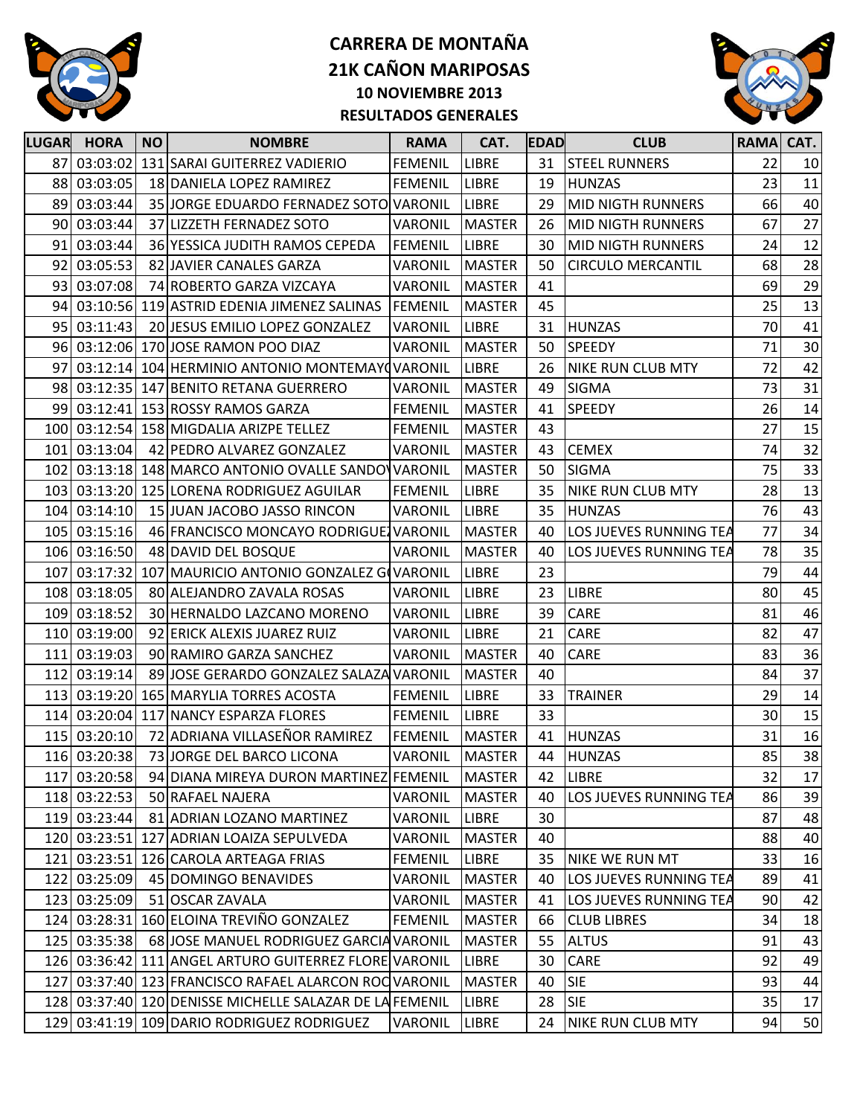



| <b>LUGAR</b> | <b>HORA</b>  | <b>NO</b> | <b>NOMBRE</b>                                           | <b>RAMA</b>    | CAT.          | <b>EDAD</b> | <b>CLUB</b>              | <b>RAMA</b> | CAT. |
|--------------|--------------|-----------|---------------------------------------------------------|----------------|---------------|-------------|--------------------------|-------------|------|
|              | 87 03:03:02  |           | 131 SARAI GUITERREZ VADIERIO                            | <b>FEMENIL</b> | <b>LIBRE</b>  | 31          | <b>STEEL RUNNERS</b>     | 22          | 10   |
| 88           | 03:03:05     |           | 18 DANIELA LOPEZ RAMIREZ                                | <b>FEMENIL</b> | <b>LIBRE</b>  | 19          | <b>HUNZAS</b>            | 23          | 11   |
| 89           | 03:03:44     |           | 35 JORGE EDUARDO FERNADEZ SOTO VARONIL                  |                | <b>LIBRE</b>  | 29          | <b>MID NIGTH RUNNERS</b> | 66          | 40   |
| 90           | 03:03:44     |           | 37 LIZZETH FERNADEZ SOTO                                | VARONIL        | <b>MASTER</b> | 26          | <b>MID NIGTH RUNNERS</b> | 67          | 27   |
| 91           | 03:03:44     |           | 36 YESSICA JUDITH RAMOS CEPEDA                          | <b>FEMENIL</b> | <b>LIBRE</b>  | 30          | <b>MID NIGTH RUNNERS</b> | 24          | 12   |
| 92           | 03:05:53     |           | 82 JAVIER CANALES GARZA                                 | VARONIL        | <b>MASTER</b> | 50          | <b>CIRCULO MERCANTIL</b> | 68          | 28   |
| 93           | 03:07:08     |           | 74 ROBERTO GARZA VIZCAYA                                | VARONIL        | <b>MASTER</b> | 41          |                          | 69          | 29   |
| 94           |              |           | 03:10:56 119 ASTRID EDENIA JIMENEZ SALINAS              | FEMENIL        | <b>MASTER</b> | 45          |                          | 25          | 13   |
| 95           | 03:11:43     |           | 20 JESUS EMILIO LOPEZ GONZALEZ                          | <b>VARONIL</b> | <b>LIBRE</b>  | 31          | <b>HUNZAS</b>            | 70          | 41   |
| 96           |              |           | 03:12:06 170 JOSE RAMON POO DIAZ                        | VARONIL        | <b>MASTER</b> | 50          | <b>SPEEDY</b>            | 71          | 30   |
| 97           | 03:12:14     |           | 104 HERMINIO ANTONIO MONTEMAY (VARONIL                  |                | LIBRE         | 26          | <b>NIKE RUN CLUB MTY</b> | 72          | 42   |
| 98           |              |           | 03:12:35 147 BENITO RETANA GUERRERO                     | VARONIL        | <b>MASTER</b> | 49          | <b>SIGMA</b>             | 73          | 31   |
| 99 l         |              |           | 03:12:41 153 ROSSY RAMOS GARZA                          | <b>FEMENIL</b> | <b>MASTER</b> | 41          | <b>SPEEDY</b>            | 26          | 14   |
|              |              |           | 100 03:12:54 158 MIGDALIA ARIZPE TELLEZ                 | <b>FEMENIL</b> | <b>MASTER</b> | 43          |                          | 27          | 15   |
|              | 101 03:13:04 |           | 42 PEDRO ALVAREZ GONZALEZ                               | <b>VARONIL</b> | <b>MASTER</b> | 43          | <b>CEMEX</b>             | 74          | 32   |
| 102          | 03:13:18     |           | 148 MARCO ANTONIO OVALLE SANDO VARONIL                  |                | <b>MASTER</b> | 50          | <b>SIGMA</b>             | 75          | 33   |
|              |              |           | 103 03:13:20 125 LORENA RODRIGUEZ AGUILAR               | <b>FEMENIL</b> | <b>LIBRE</b>  | 35          | <b>NIKE RUN CLUB MTY</b> | 28          | 13   |
| 104I         | 03:14:10     |           | 15 JUAN JACOBO JASSO RINCON                             | <b>VARONIL</b> | <b>LIBRE</b>  | 35          | <b>HUNZAS</b>            | 76          | 43   |
|              | 105 03:15:16 |           | 46 FRANCISCO MONCAYO RODRIGUE VARONIL                   |                | <b>MASTER</b> | 40          | LOS JUEVES RUNNING TEA   | 77          | 34   |
|              | 106 03:16:50 |           | 48 DAVID DEL BOSQUE                                     | <b>VARONIL</b> | <b>MASTER</b> | 40          | LOS JUEVES RUNNING TEA   | 78          | 35   |
| 107          | 03:17:32     |           | 107 MAURICIO ANTONIO GONZALEZ GOVARONIL                 |                | <b>LIBRE</b>  | 23          |                          | 79          | 44   |
|              | 108 03:18:05 |           | 80 ALEJANDRO ZAVALA ROSAS                               | VARONIL        | <b>LIBRE</b>  | 23          | <b>LIBRE</b>             | 80          | 45   |
|              | 109 03:18:52 |           | 30 HERNALDO LAZCANO MORENO                              | VARONIL        | <b>LIBRE</b>  | 39          | CARE                     | 81          | 46   |
|              | 110 03:19:00 |           | 92 ERICK ALEXIS JUAREZ RUIZ                             | VARONIL        | <b>LIBRE</b>  | 21          | CARE                     | 82          | 47   |
|              | 111 03:19:03 |           | 90 RAMIRO GARZA SANCHEZ                                 | <b>VARONIL</b> | <b>MASTER</b> | 40          | CARE                     | 83          | 36   |
|              | 112 03:19:14 |           | 89 JOSE GERARDO GONZALEZ SALAZA VARONIL                 |                | <b>MASTER</b> | 40          |                          | 84          | 37   |
|              |              |           | 113 03:19:20 165 MARYLIA TORRES ACOSTA                  | <b>FEMENIL</b> | <b>LIBRE</b>  | 33          | <b>TRAINER</b>           | 29          | 14   |
|              |              |           | 114 03:20:04 117 NANCY ESPARZA FLORES                   | <b>FEMENIL</b> | <b>LIBRE</b>  | 33          |                          | 30          | 15   |
|              | 115 03:20:10 |           | 72 ADRIANA VILLASEÑOR RAMIREZ                           | <b>FEMENIL</b> | <b>MASTER</b> | 41          | <b>HUNZAS</b>            | 31          | 16   |
|              | 116 03:20:38 |           | 73 JORGE DEL BARCO LICONA                               | <b>VARONIL</b> | MASTER        | 44          | <b>HUNZAS</b>            | 85          | 38   |
| 117          | 03:20:58     |           | 94 DIANA MIREYA DURON MARTINEZ FEMENIL                  |                | <b>MASTER</b> | 42          | <b>LIBRE</b>             | 32          | 17   |
|              | 118 03:22:53 |           | 50 RAFAEL NAJERA                                        | VARONIL        | <b>MASTER</b> | 40          | LOS JUEVES RUNNING TEA   | 86          | 39   |
|              | 119 03:23:44 |           | 81 ADRIAN LOZANO MARTINEZ                               | VARONIL        | LIBRE         | 30          |                          | 87          | 48   |
|              |              |           | 120 03:23:51 127 ADRIAN LOAIZA SEPULVEDA                | VARONIL        | <b>MASTER</b> | 40          |                          | 88          | 40   |
|              | 121 03:23:51 |           | 126 CAROLA ARTEAGA FRIAS                                | <b>FEMENIL</b> | LIBRE         | 35          | NIKE WE RUN MT           | 33          | 16   |
|              | 122 03:25:09 |           | 45 DOMINGO BENAVIDES                                    | VARONIL        | <b>MASTER</b> | 40          | LOS JUEVES RUNNING TEA   | 89          | 41   |
|              | 123 03:25:09 |           | 51 OSCAR ZAVALA                                         | VARONIL        | <b>MASTER</b> | 41          | LOS JUEVES RUNNING TEA   | 90          | 42   |
|              | 124 03:28:31 |           | 160 ELOINA TREVIÑO GONZALEZ                             | <b>FEMENIL</b> | <b>MASTER</b> | 66          | <b>CLUB LIBRES</b>       | 34          | 18   |
|              | 125 03:35:38 |           | 68 JOSE MANUEL RODRIGUEZ GARCIA VARONIL                 |                | <b>MASTER</b> | 55          | <b>ALTUS</b>             | 91          | 43   |
|              |              |           | 126 03:36:42 111 ANGEL ARTURO GUITERREZ FLORE VARONIL   |                | <b>LIBRE</b>  | 30          | CARE                     | 92          | 49   |
|              |              |           | 127 03:37:40 123 FRANCISCO RAFAEL ALARCON ROC VARONIL   |                | <b>MASTER</b> | 40          | <b>SIE</b>               | 93          | 44   |
|              |              |           | 128 03:37:40 120 DENISSE MICHELLE SALAZAR DE LA FEMENIL |                | <b>LIBRE</b>  | 28          | <b>SIE</b>               | 35          | 17   |
| 129          |              |           | 03:41:19 109 DARIO RODRIGUEZ RODRIGUEZ                  | <b>VARONIL</b> | LIBRE         | 24          | <b>NIKE RUN CLUB MTY</b> | 94          | 50   |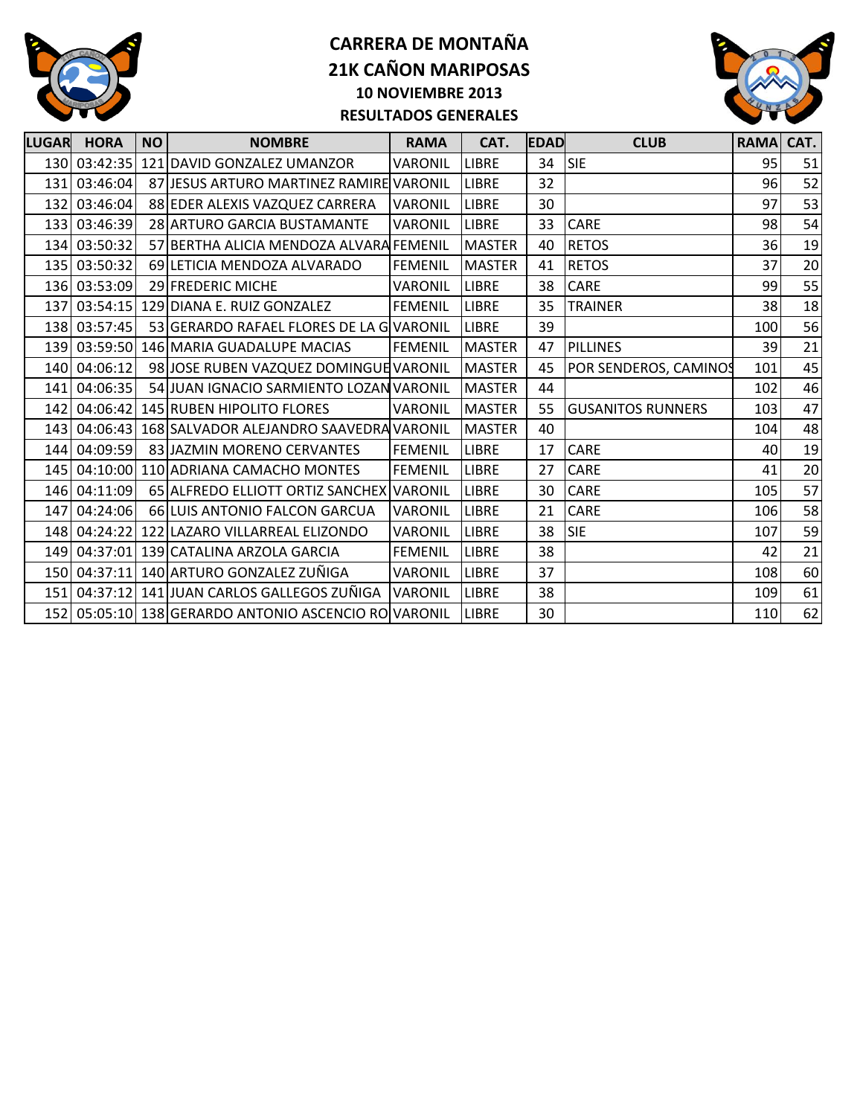



| <b>LUGAR</b>     | <b>HORA</b>  | <b>NO</b> | <b>NOMBRE</b>                                       | <b>RAMA</b>    | CAT.          | <b>EDAD</b> | <b>CLUB</b>              | RAMA CAT. |    |
|------------------|--------------|-----------|-----------------------------------------------------|----------------|---------------|-------------|--------------------------|-----------|----|
|                  | 130 03:42:35 |           | 121 DAVID GONZALEZ UMANZOR                          | VARONIL        | <b>LIBRE</b>  | 34          | SIE                      | 95        | 51 |
| 131              | 03:46:04     |           | 87 JIESUS ARTURO MARTINEZ RAMIRE VARONIL            |                | <b>LIBRE</b>  | 32          |                          | 96        | 52 |
|                  | 132 03:46:04 |           | 88 EDER ALEXIS VAZQUEZ CARRERA                      | <b>VARONIL</b> | <b>LIBRE</b>  | 30          |                          | 97        | 53 |
| 133              | 03:46:39     |           | 28 ARTURO GARCIA BUSTAMANTE                         | <b>VARONIL</b> | <b>LIBRE</b>  | 33          | <b>CARE</b>              | 98        | 54 |
|                  | 134 03:50:32 |           | 57 BERTHA ALICIA MENDOZA ALVARA FEMENIL             |                | <b>MASTER</b> | 40          | <b>RETOS</b>             | 36        | 19 |
| 135 <sup>I</sup> | 03:50:32     |           | 69 LETICIA MENDOZA ALVARADO                         | <b>FEMENIL</b> | <b>MASTER</b> | 41          | <b>RETOS</b>             | 37        | 20 |
|                  | 136 03:53:09 |           | 29 FREDERIC MICHE                                   | VARONIL        | <b>LIBRE</b>  | 38          | <b>CARE</b>              | 99        | 55 |
| 137              | 03:54:15     |           | 129 DIANA E. RUIZ GONZALEZ                          | <b>FEMENIL</b> | <b>LIBRE</b>  | 35          | <b>TRAINER</b>           | 38        | 18 |
|                  | 138 03:57:45 |           | 53 GERARDO RAFAEL FLORES DE LA G VARONIL            |                | <b>LIBRE</b>  | 39          |                          | 100       | 56 |
| 139              |              |           | 03:59:50 146 MARIA GUADALUPE MACIAS                 | <b>FEMENIL</b> | <b>MASTER</b> | 47          | <b>PILLINES</b>          | 39        | 21 |
|                  | 140 04:06:12 |           | 98 JOSE RUBEN VAZQUEZ DOMINGUE VARONIL              |                | <b>MASTER</b> | 45          | POR SENDEROS, CAMINOS    | 101       | 45 |
| 141              | 04:06:35     |           | 54 JUAN IGNACIO SARMIENTO LOZAN VARONIL             |                | <b>MASTER</b> | 44          |                          | 102       | 46 |
| 142              | 04:06:42     |           | 145 RUBEN HIPOLITO FLORES                           | VARONIL        | <b>MASTER</b> | 55          | <b>GUSANITOS RUNNERS</b> | 103       | 47 |
| 143 l            |              |           | 04:06:43 168 SALVADOR ALEJANDRO SAAVEDRA VARONIL    |                | <b>MASTER</b> | 40          |                          | 104       | 48 |
| 144              | 04:09:59     |           | 83 JAZMIN MORENO CERVANTES                          | <b>FEMENIL</b> | <b>LIBRE</b>  | 17          | <b>CARE</b>              | 40        | 19 |
|                  |              |           | 145 04:10:00 110 ADRIANA CAMACHO MONTES             | <b>FEMENIL</b> | <b>LIBRE</b>  | 27          | <b>CARE</b>              | 41        | 20 |
|                  | 146 04:11:09 |           | 65 ALFREDO ELLIOTT ORTIZ SANCHEX VARONIL            |                | <b>LIBRE</b>  | 30          | CARE                     | 105       | 57 |
| 147              | 04:24:06     |           | 66 LUIS ANTONIO FALCON GARCUA                       | <b>VARONIL</b> | <b>LIBRE</b>  | 21          | <b>CARE</b>              | 106       | 58 |
| 148I             | 04:24:22     |           | 122 LAZARO VILLARREAL ELIZONDO                      | VARONIL        | LIBRE         | 38          | <b>SIE</b>               | 107       | 59 |
| 149              |              |           | 04:37:01 139 CATALINA ARZOLA GARCIA                 | <b>FEMENIL</b> | <b>LIBRE</b>  | 38          |                          | 42        | 21 |
|                  |              |           | 150 04:37:11 140 ARTURO GONZALEZ ZUÑIGA             | VARONIL        | <b>LIBRE</b>  | 37          |                          | 108       | 60 |
|                  | 151 04:37:12 |           | 141 JUAN CARLOS GALLEGOS ZUÑIGA                     | <b>VARONIL</b> | <b>LIBRE</b>  | 38          |                          | 109       | 61 |
|                  |              |           | 152 05:05:10 138 GERARDO ANTONIO ASCENCIO ROVARONIL |                | <b>LIBRE</b>  | 30          |                          | 110       | 62 |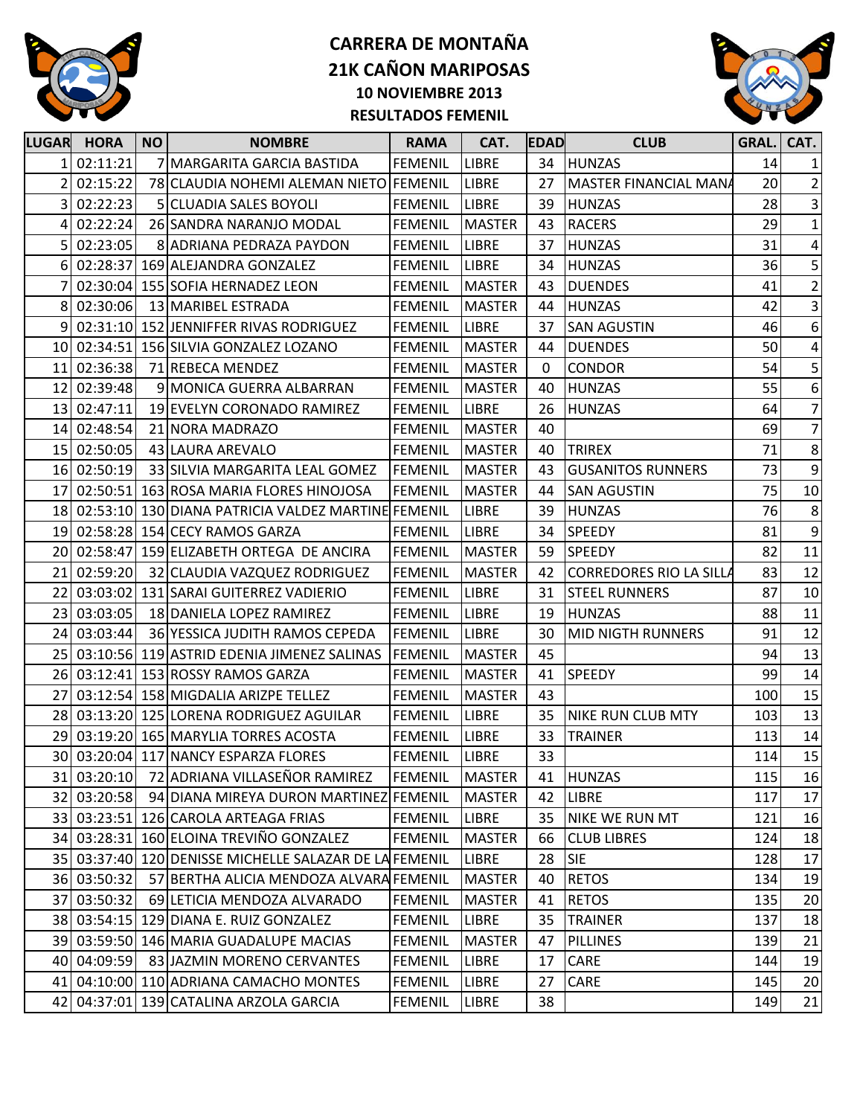



| <b>LUGAR</b> | <b>HORA</b> | <b>NO</b> | <b>NOMBRE</b>                                          | <b>RAMA</b>    | CAT.          | <b>EDAD</b> | <b>CLUB</b>              | GRAL. | CAT.            |
|--------------|-------------|-----------|--------------------------------------------------------|----------------|---------------|-------------|--------------------------|-------|-----------------|
|              | 02:11:21    |           | <b>MARGARITA GARCIA BASTIDA</b>                        | <b>FEMENIL</b> | <b>LIBRE</b>  | 34          | <b>HUNZAS</b>            | 14    | $1\vert$        |
| 2            | 02:15:22    |           | 78 CLAUDIA NOHEMI ALEMAN NIETO FEMENIL                 |                | <b>LIBRE</b>  | 27          | MASTER FINANCIAL MANA    | 20    | $\overline{2}$  |
| 3            | 02:22:23    | 5.        | <b>CLUADIA SALES BOYOLI</b>                            | <b>FEMENIL</b> | <b>LIBRE</b>  | 39          | <b>HUNZAS</b>            | 28    | 3               |
|              | 02:22:24    |           | 26 SANDRA NARANJO MODAL                                | <b>FEMENIL</b> | <b>MASTER</b> | 43          | <b>RACERS</b>            | 29    | $1\vert$        |
| 5            | 02:23:05    |           | 8 ADRIANA PEDRAZA PAYDON                               | <b>FEMENIL</b> | <b>LIBRE</b>  | 37          | <b>HUNZAS</b>            | 31    | $\vert$         |
| $6 \mid$     |             |           | 02:28:37 169 ALEJANDRA GONZALEZ                        | <b>FEMENIL</b> | <b>LIBRE</b>  | 34          | <b>HUNZAS</b>            | 36    | $\mathbf{5}$    |
|              |             |           | 02:30:04 155 SOFIA HERNADEZ LEON                       | <b>FEMENIL</b> | <b>MASTER</b> | 43          | <b>DUENDES</b>           | 41    | $2\vert$        |
| 8            | 02:30:06    |           | 13 MARIBEL ESTRADA                                     | <b>FEMENIL</b> | <b>MASTER</b> | 44          | <b>HUNZAS</b>            | 42    | $\vert$ 3       |
|              |             |           | 9 02:31:10 152 JENNIFFER RIVAS RODRIGUEZ               | <b>FEMENIL</b> | <b>LIBRE</b>  | 37          | <b>SAN AGUSTIN</b>       | 46    | $6 \mid$        |
|              |             |           | 10 02:34:51 156 SILVIA GONZALEZ LOZANO                 | <b>FEMENIL</b> | <b>MASTER</b> | 44          | <b>DUENDES</b>           | 50    | $\vert 4 \vert$ |
| 11           | 02:36:38    |           | 71 REBECA MENDEZ                                       | <b>FEMENIL</b> | <b>MASTER</b> | 0           | <b>CONDOR</b>            | 54    | $\mathbf{5}$    |
|              | 12 02:39:48 |           | 9 MONICA GUERRA ALBARRAN                               | <b>FEMENIL</b> | <b>MASTER</b> | 40          | <b>HUNZAS</b>            | 55    | $6 \mid$        |
|              | 13 02:47:11 |           | 19 EVELYN CORONADO RAMIREZ                             | <b>FEMENIL</b> | <b>LIBRE</b>  | 26          | <b>HUNZAS</b>            | 64    | $\overline{7}$  |
|              | 14 02:48:54 |           | 21 NORA MADRAZO                                        | <b>FEMENIL</b> | <b>MASTER</b> | 40          |                          | 69    | 7               |
|              | 15 02:50:05 |           | 43 LAURA AREVALO                                       | <b>FEMENIL</b> | <b>MASTER</b> | 40          | <b>TRIREX</b>            | 71    | 8 <sup>1</sup>  |
|              | 16 02:50:19 |           | 33 SILVIA MARGARITA LEAL GOMEZ                         | FEMENIL        | <b>MASTER</b> | 43          | <b>GUSANITOS RUNNERS</b> | 73    | $\overline{9}$  |
| 17           |             |           | 02:50:51 163 ROSA MARIA FLORES HINOJOSA                | <b>FEMENIL</b> | <b>MASTER</b> | 44          | <b>SAN AGUSTIN</b>       | 75    | 10              |
|              |             |           | 18 02:53:10 130 DIANA PATRICIA VALDEZ MARTINE FEMENIL  |                | <b>LIBRE</b>  | 39          | <b>HUNZAS</b>            | 76    | 8 <sup>1</sup>  |
|              |             |           | 19 02:58:28 154 CECY RAMOS GARZA                       | <b>FEMENIL</b> | LIBRE         | 34          | <b>SPEEDY</b>            | 81    | $\overline{9}$  |
|              |             |           | 20 02:58:47 159 ELIZABETH ORTEGA DE ANCIRA             | <b>FEMENIL</b> | <b>MASTER</b> | 59          | <b>SPEEDY</b>            | 82    | 11              |
|              | 21 02:59:20 |           | 32 CLAUDIA VAZQUEZ RODRIGUEZ                           | <b>FEMENIL</b> | <b>MASTER</b> | 42          | CORREDORES RIO LA SILLA  | 83    | 12              |
| 22           |             |           | 03:03:02 131 SARAI GUITERREZ VADIERIO                  | <b>FEMENIL</b> | <b>LIBRE</b>  | 31          | <b>STEEL RUNNERS</b>     | 87    | 10              |
|              | 23 03:03:05 |           | 18 DANIELA LOPEZ RAMIREZ                               | <b>FEMENIL</b> | <b>LIBRE</b>  | 19          | <b>HUNZAS</b>            | 88    | 11              |
| 24           | 03:03:44    |           | 36 YESSICA JUDITH RAMOS CEPEDA                         | <b>FEMENIL</b> | <b>LIBRE</b>  | 30          | <b>MID NIGTH RUNNERS</b> | 91    | 12              |
|              |             |           | 25 03:10:56 119 ASTRID EDENIA JIMENEZ SALINAS          | <b>FEMENIL</b> | <b>MASTER</b> | 45          |                          | 94    | 13              |
|              |             |           | 26 03:12:41 153 ROSSY RAMOS GARZA                      | <b>FEMENIL</b> | <b>MASTER</b> | 41          | <b>SPEEDY</b>            | 99    | 14              |
| 27           |             |           | 03:12:54 158 MIGDALIA ARIZPE TELLEZ                    | <b>FEMENIL</b> | <b>MASTER</b> | 43          |                          | 100   | 15              |
|              |             |           | 28 03:13:20 125 LORENA RODRIGUEZ AGUILAR               | <b>FEMENIL</b> | LIBRE         | 35          | <b>NIKE RUN CLUB MTY</b> | 103   | 13              |
| 29           |             |           | 03:19:20 165 MARYLIA TORRES ACOSTA                     | <b>FEMENIL</b> | <b>LIBRE</b>  | 33          | <b>TRAINER</b>           | 113   | 14              |
|              |             |           | 30 03:20:04 117 NANCY ESPARZA FLORES                   | <b>FEMENIL</b> | <b>LIBRE</b>  | 33          |                          | 114   | 15              |
|              |             |           | 31 03:20:10 72 ADRIANA VILLASEÑOR RAMIREZ              | <b>FEMENIL</b> | <b>MASTER</b> |             | 41 HUNZAS                | 115   | 16              |
|              | 32 03:20:58 |           | 94 DIANA MIREYA DURON MARTINEZ FEMENIL                 |                | <b>MASTER</b> | 42          | <b>LIBRE</b>             | 117   | 17              |
|              |             |           | 33 03:23:51 126 CAROLA ARTEAGA FRIAS                   | <b>FEMENIL</b> | LIBRE         | 35          | <b>NIKE WE RUN MT</b>    | 121   | 16              |
|              |             |           | 34 03:28:31 160 ELOINA TREVIÑO GONZALEZ                | <b>FEMENIL</b> | <b>MASTER</b> | 66          | <b>CLUB LIBRES</b>       | 124   | 18              |
|              |             |           | 35 03:37:40 120 DENISSE MICHELLE SALAZAR DE LA FEMENIL |                | <b>LIBRE</b>  | 28          | SIE                      | 128   | $17\,$          |
|              | 36 03:50:32 |           | 57 BERTHA ALICIA MENDOZA ALVARA FEMENIL                |                | <b>MASTER</b> | 40          | <b>RETOS</b>             | 134   | 19              |
|              | 37 03:50:32 |           | 69 LETICIA MENDOZA ALVARADO                            | <b>FEMENIL</b> | <b>MASTER</b> | 41          | <b>RETOS</b>             | 135   | 20              |
|              |             |           | 38 03:54:15 129 DIANA E. RUIZ GONZALEZ                 | <b>FEMENIL</b> | LIBRE         | 35          | <b>TRAINER</b>           | 137   | 18              |
|              |             |           | 39 03:59:50 146 MARIA GUADALUPE MACIAS                 | <b>FEMENIL</b> | <b>MASTER</b> | 47          | <b>PILLINES</b>          | 139   | 21              |
|              | 40 04:09:59 |           | 83 JAZMIN MORENO CERVANTES                             | <b>FEMENIL</b> | <b>LIBRE</b>  | 17          | CARE                     | 144   | 19              |
|              |             |           | 41 04:10:00 110 ADRIANA CAMACHO MONTES                 | <b>FEMENIL</b> | LIBRE         | 27          | CARE                     | 145   | 20              |
|              |             |           | 42 04:37:01 139 CATALINA ARZOLA GARCIA                 | <b>FEMENIL</b> | LIBRE         | 38          |                          | 149   | 21              |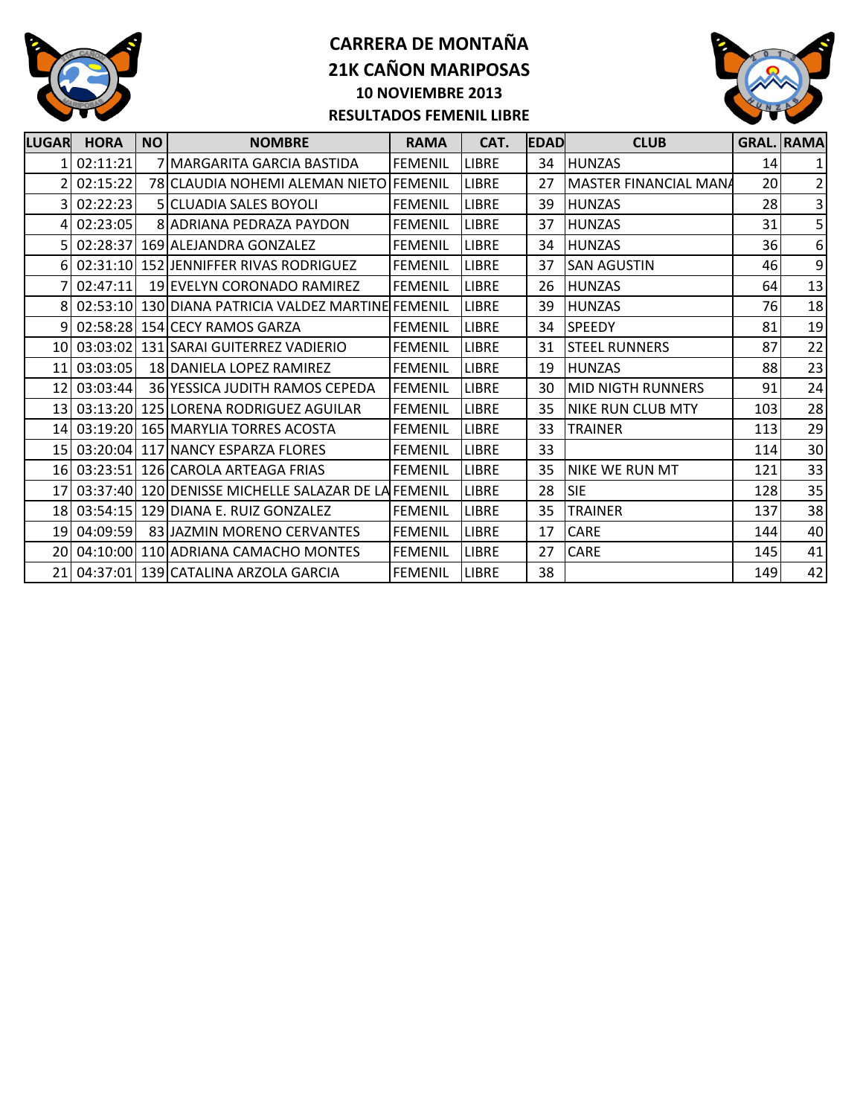



| LUGAR           | <b>HORA</b> | <b>NO</b> | <b>NOMBRE</b>                                        | <b>RAMA</b>     | CAT.         | <b>IEDAD</b> | <b>CLUB</b>              |     | <b>GRAL. RAMA</b>       |
|-----------------|-------------|-----------|------------------------------------------------------|-----------------|--------------|--------------|--------------------------|-----|-------------------------|
|                 | 02:11:21    |           | 7 MARGARITA GARCIA BASTIDA                           | <b>FEMENIL</b>  | <b>LIBRE</b> | 34           | <b>HUNZAS</b>            | 14  |                         |
|                 | 02:15:22    |           | 78 CLAUDIA NOHEMI ALEMAN NIETO FEMENIL               |                 | <b>LIBRE</b> | 27           | MASTER FINANCIAL MANA    | 20  | $\overline{\mathbf{c}}$ |
|                 | 3 02:22:23  |           | <b>5 ICLUADIA SALES BOYOLI</b>                       | <b>FEMENIL</b>  | <b>LIBRE</b> | 39           | <b>HUNZAS</b>            | 28  | $\overline{\mathbf{3}}$ |
|                 | 4 02:23:05  |           | 8 ADRIANA PEDRAZA PAYDON                             | <b>FEMENIL</b>  | <b>LIBRE</b> | 37           | <b>HUNZAS</b>            | 31  | 5                       |
|                 |             |           | 02:28:37 169 ALEJANDRA GONZALEZ                      | <b>FEMENIL</b>  | <b>LIBRE</b> | 34           | <b>HUNZAS</b>            | 36  | 6                       |
|                 |             |           | 6 02:31:10 152 JENNIFFER RIVAS RODRIGUEZ             | <b>FEMENIL</b>  | <b>LIBRE</b> | 37           | <b>SAN AGUSTIN</b>       | 46  | 9                       |
|                 | 02:47:11    |           | 19 EVELYN CORONADO RAMIREZ                           | <b>FEMENIL</b>  | <b>LIBRE</b> | 26           | <b>HUNZAS</b>            | 64  | 13                      |
|                 |             |           | 8 02:53:10 130 DIANA PATRICIA VALDEZ MARTINE FEMENIL |                 | <b>LIBRE</b> | 39           | <b>HUNZAS</b>            | 76  | 18                      |
|                 |             |           | 9 02:58:28 154 CECY RAMOS GARZA                      | <b>FEMENIL</b>  | <b>LIBRE</b> | 34           | <b>SPEEDY</b>            | 81  | 19                      |
|                 |             |           | 10 03:03:02 131 SARAI GUITERREZ VADIERIO             | <b>FEMENIL</b>  | <b>LIBRE</b> | 31           | <b>STEEL RUNNERS</b>     | 87  | 22                      |
|                 | 11 03:03:05 |           | 18 DANIELA LOPEZ RAMIREZ                             | <b>FEMENIL</b>  | <b>LIBRE</b> | 19           | <b>HUNZAS</b>            | 88  | 23                      |
|                 | 12 03:03:44 |           | 36 YESSICA JUDITH RAMOS CEPEDA                       | <b>IFEMENIL</b> | <b>LIBRE</b> | 30           | MID NIGTH RUNNERS        | 91  | 24                      |
|                 |             |           | 13 03:13:20 125 LORENA RODRIGUEZ AGUILAR             | <b>FEMENIL</b>  | <b>LIBRE</b> | 35           | <b>NIKE RUN CLUB MTY</b> | 103 | 28                      |
|                 |             |           | 14 03:19:20 165 MARYLIA TORRES ACOSTA                | <b>FEMENIL</b>  | <b>LIBRE</b> | 33           | <b>TRAINER</b>           | 113 | 29                      |
|                 |             |           | 15 03:20:04 117 NANCY ESPARZA FLORES                 | <b>FEMENIL</b>  | <b>LIBRE</b> | 33           |                          | 114 | 30 <sup>1</sup>         |
|                 |             |           | 16 03:23:51 126 CAROLA ARTEAGA FRIAS                 | <b>FEMENIL</b>  | <b>LIBRE</b> | 35           | NIKE WE RUN MT           | 121 | 33                      |
| 17 <sup>1</sup> |             |           | 03:37:40 120 DENISSE MICHELLE SALAZAR DE LA FEMENIL  |                 | <b>LIBRE</b> | 28           | <b>SIE</b>               | 128 | 35                      |
|                 |             |           | 18 03:54:15 129 DIANA E. RUIZ GONZALEZ               | <b>FEMENIL</b>  | <b>LIBRE</b> | 35           | <b>TRAINER</b>           | 137 | 38                      |
|                 | 19 04:09:59 |           | 83 JAZMIN MORENO CERVANTES                           | <b>FEMENIL</b>  | <b>LIBRE</b> | 17           | <b>CARE</b>              | 144 | 40                      |
|                 |             |           | 20 04:10:00 110 ADRIANA CAMACHO MONTES               | <b>FEMENIL</b>  | <b>LIBRE</b> | 27           | CARE                     | 145 | 41                      |
|                 |             |           | 21 04:37:01 139 CATALINA ARZOLA GARCIA               | <b>FEMENIL</b>  | <b>LIBRE</b> | 38           |                          | 149 | 42                      |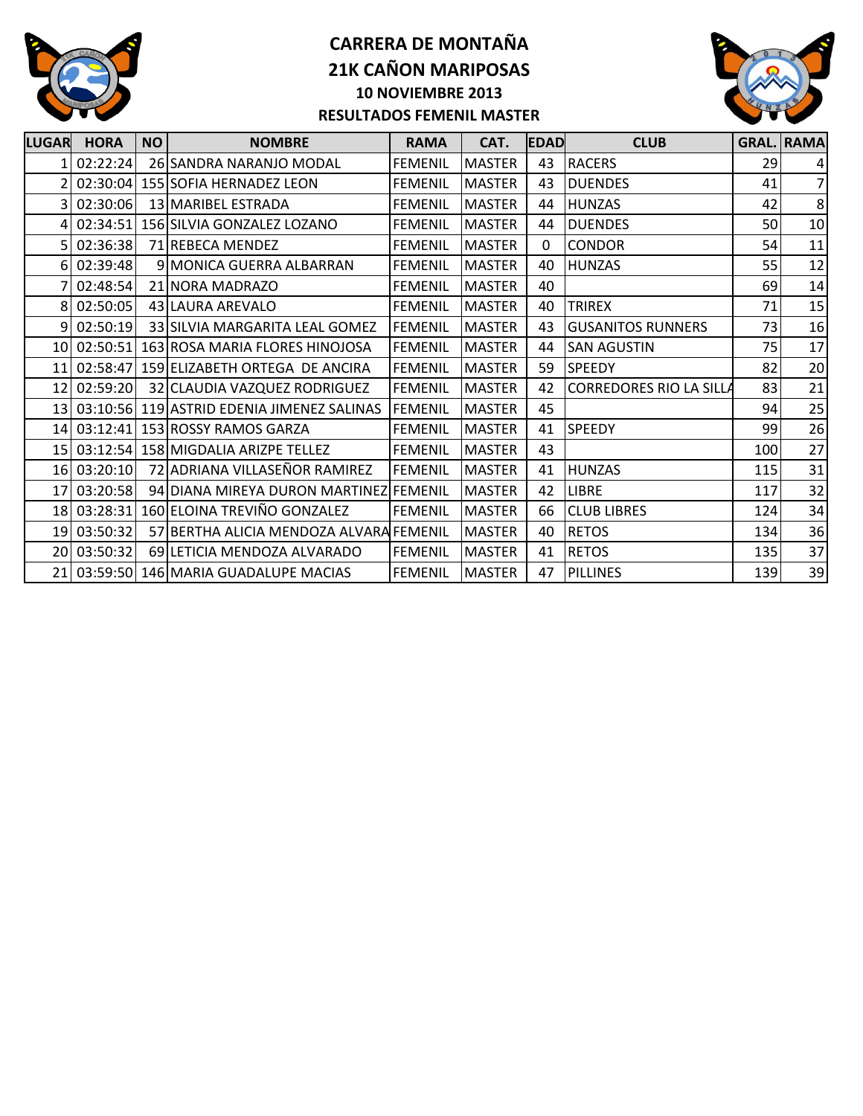



| <b>LUGAR</b>    | <b>HORA</b> | <b>NO</b> | <b>NOMBRE</b>                                 | <b>RAMA</b>    | CAT.          | <b>EDAD</b>  | <b>CLUB</b>                    |     | <b>GRAL. RAMA</b> |
|-----------------|-------------|-----------|-----------------------------------------------|----------------|---------------|--------------|--------------------------------|-----|-------------------|
|                 | 02:22:24    |           | 26 SANDRA NARANJO MODAL                       | <b>FEMENIL</b> | <b>MASTER</b> | 43           | <b>RACERS</b>                  | 29  | $\vert$           |
|                 |             |           | 02:30:04 155 SOFIA HERNADEZ LEON              | <b>FEMENIL</b> | <b>MASTER</b> | 43           | <b>DUENDES</b>                 | 41  | 7 <sup>1</sup>    |
|                 | 02:30:06    |           | 13 MARIBEL ESTRADA                            | <b>FEMENIL</b> | <b>MASTER</b> | 44           | <b>HUNZAS</b>                  | 42  | 8                 |
|                 | 02:34:51    |           | 156 SILVIA GONZALEZ LOZANO                    | <b>FEMENIL</b> | <b>MASTER</b> | 44           | <b>DUENDES</b>                 | 50  | 10                |
|                 | 02:36:38    |           | 71 REBECA MENDEZ                              | <b>FEMENIL</b> | <b>MASTER</b> | $\mathbf{0}$ | <b>CONDOR</b>                  | 54  | 11                |
|                 | 02:39:48    |           | 9 MONICA GUERRA ALBARRAN                      | <b>FEMENIL</b> | <b>MASTER</b> | 40           | <b>HUNZAS</b>                  | 55  | 12                |
|                 | 02:48:54    |           | 21 NORA MADRAZO                               | <b>FEMENIL</b> | <b>MASTER</b> | 40           |                                | 69  | 14                |
|                 | 8 02:50:05  |           | 43 LAURA AREVALO                              | <b>FEMENIL</b> | <b>MASTER</b> | 40           | <b>TRIREX</b>                  | 71  | 15                |
| q               | 02:50:19    |           | 33 SILVIA MARGARITA LEAL GOMEZ                | <b>FEMENIL</b> | <b>MASTER</b> | 43           | <b>GUSANITOS RUNNERS</b>       | 73  | 16                |
|                 | 10 02:50:51 |           | 163 ROSA MARIA FLORES HINOJOSA                | <b>FEMENIL</b> | <b>MASTER</b> | 44           | <b>SAN AGUSTIN</b>             | 75  | 17                |
|                 |             |           | 11 02:58:47 159 ELIZABETH ORTEGA DE ANCIRA    | <b>FEMENIL</b> | <b>MASTER</b> | 59           | <b>SPEEDY</b>                  | 82  | 20                |
|                 | 12 02:59:20 |           | 32 CLAUDIA VAZQUEZ RODRIGUEZ                  | <b>FEMENIL</b> | <b>MASTER</b> | 42           | <b>CORREDORES RIO LA SILLA</b> | 83  | 21                |
|                 |             |           | 13 03:10:56 119 ASTRID EDENIA JIMENEZ SALINAS | <b>FEMENIL</b> | <b>MASTER</b> | 45           |                                | 94  | 25                |
|                 |             |           | 14 03:12:41 153 ROSSY RAMOS GARZA             | <b>FEMENIL</b> | <b>MASTER</b> | 41           | <b>SPEEDY</b>                  | 99  | 26                |
|                 |             |           | 15 03:12:54 158 MIGDALIA ARIZPE TELLEZ        | <b>FEMENIL</b> | <b>MASTER</b> | 43           |                                | 100 | 27                |
|                 | 16 03:20:10 |           | 72 ADRIANA VILLASEÑOR RAMIREZ                 | <b>FEMENIL</b> | <b>MASTER</b> | 41           | <b>HUNZAS</b>                  | 115 | 31                |
| 17              | 03:20:58    |           | 94 DIANA MIREYA DURON MARTINEZ FEMENIL        |                | <b>MASTER</b> | 42           | LIBRE                          | 117 | 32                |
|                 | 18 03:28:31 |           | 160 ELOINA TREVIÑO GONZALEZ                   | <b>FEMENIL</b> | <b>MASTER</b> | 66           | <b>CLUB LIBRES</b>             | 124 | 34                |
| 19              | 03:50:32    |           | 57 BERTHA ALICIA MENDOZA ALVARA FEMENIL       |                | <b>MASTER</b> | 40           | <b>RETOS</b>                   | 134 | 36                |
| 20 <sup>1</sup> | 03:50:32    |           | 69 LETICIA MENDOZA ALVARADO                   | <b>FEMENIL</b> | <b>MASTER</b> | 41           | <b>RETOS</b>                   | 135 | 37                |
|                 |             |           | 21 03:59:50 146 MARIA GUADALUPE MACIAS        | <b>FEMENIL</b> | <b>MASTER</b> | 47           | <b>PILLINES</b>                | 139 | 39                |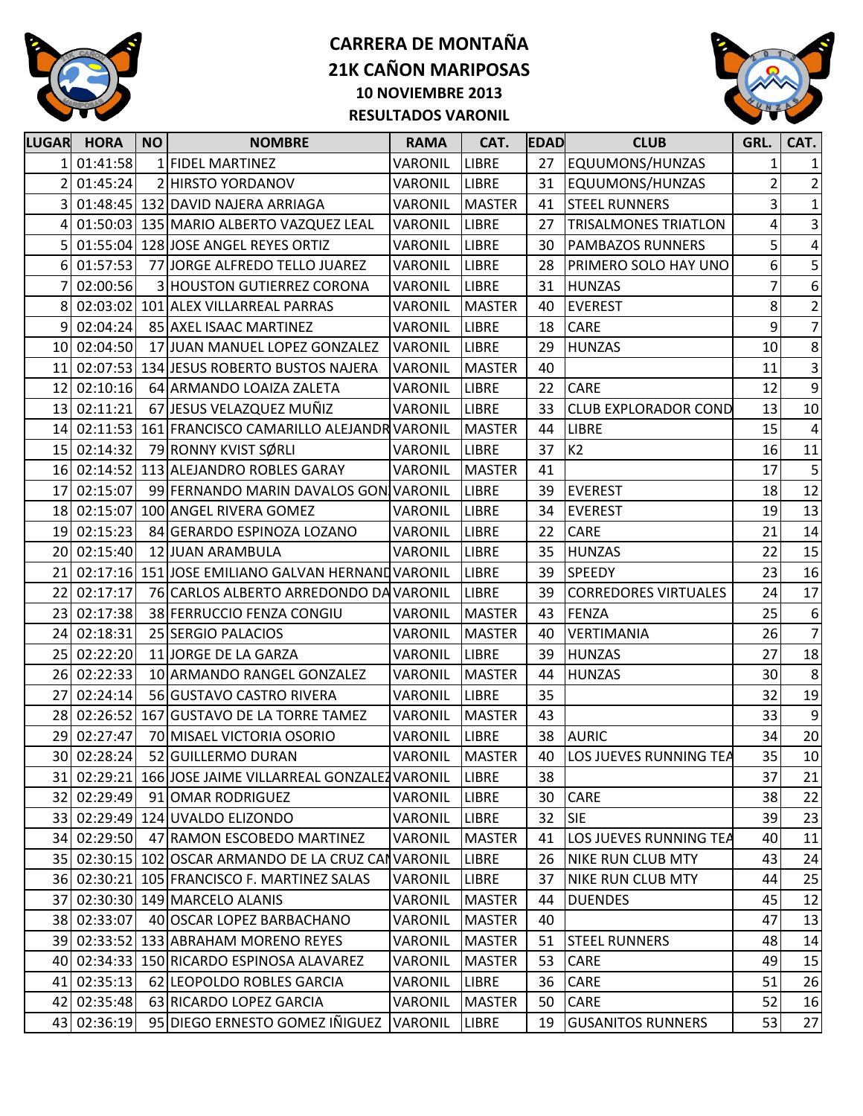



| <b>LUGAR</b> | <b>HORA</b> | <b>NO</b> | <b>NOMBRE</b>                                          | <b>RAMA</b>    | CAT.          | <b>EDAD</b> | <b>CLUB</b>                 | GRL.                    | CAT.                    |
|--------------|-------------|-----------|--------------------------------------------------------|----------------|---------------|-------------|-----------------------------|-------------------------|-------------------------|
|              | 1 01:41:58  |           | 1 FIDEL MARTINEZ                                       | VARONIL        | <b>LIBRE</b>  | 27          | EQUUMONS/HUNZAS             | $\mathbf{1}$            | $\mathbf{1}$            |
|              | 01:45:24    |           | 2 HIRSTO YORDANOV                                      | VARONIL        | <b>LIBRE</b>  | 31          | EQUUMONS/HUNZAS             | $\overline{2}$          | $\overline{2}$          |
|              |             |           | 01:48:45 132 DAVID NAJERA ARRIAGA                      | VARONIL        | <b>MASTER</b> | 41          | <b>STEEL RUNNERS</b>        | $\overline{\mathbf{3}}$ | $\mathbf{1}$            |
|              |             |           | 01:50:03 135 MARIO ALBERTO VAZQUEZ LEAL                | VARONIL        | <b>LIBRE</b>  | 27          | <b>TRISALMONES TRIATLON</b> | 4                       | $\overline{3}$          |
|              |             |           | 01:55:04 128 JOSE ANGEL REYES ORTIZ                    | VARONIL        | <b>LIBRE</b>  | 30          | PAMBAZOS RUNNERS            | $\overline{5}$          | $\overline{\mathbf{4}}$ |
| 6            | 01:57:53    |           | 77 JORGE ALFREDO TELLO JUAREZ                          | VARONIL        | <b>LIBRE</b>  | 28          | PRIMERO SOLO HAY UNO        | 6                       | 5                       |
|              | 02:00:56    |           | 3 HOUSTON GUTIERREZ CORONA                             | VARONIL        | <b>LIBRE</b>  | 31          | <b>HUNZAS</b>               | 7                       | $\overline{6}$          |
| 8            |             |           | 02:03:02 101 ALEX VILLARREAL PARRAS                    | VARONIL        | <b>MASTER</b> | 40          | <b>EVEREST</b>              | 8                       | $\overline{2}$          |
| 9            | 02:04:24    |           | 85 AXEL ISAAC MARTINEZ                                 | VARONIL        | <b>LIBRE</b>  | 18          | CARE                        | 9                       | $\overline{7}$          |
|              | 10 02:04:50 |           | 17 JUAN MANUEL LOPEZ GONZALEZ                          | <b>VARONIL</b> | <b>LIBRE</b>  | 29          | <b>HUNZAS</b>               | $10\,$                  | $\boldsymbol{8}$        |
| 11           |             |           | 02:07:53 134 JESUS ROBERTO BUSTOS NAJERA               | VARONIL        | <b>MASTER</b> | 40          |                             | 11                      | $\vert$ 3               |
| 12           | 02:10:16    |           | 64 ARMANDO LOAIZA ZALETA                               | VARONIL        | <b>LIBRE</b>  | 22          | CARE                        | 12                      | $9\,$                   |
| 13           | 02:11:21    |           | 67 JESUS VELAZQUEZ MUÑIZ                               | VARONIL        | <b>LIBRE</b>  | 33          | <b>CLUB EXPLORADOR COND</b> | 13                      | $10\,$                  |
|              |             |           | 14 02:11:53 161 FRANCISCO CAMARILLO ALEJANDR VARONIL   |                | <b>MASTER</b> | 44          | <b>LIBRE</b>                | 15                      | $\overline{\mathbf{4}}$ |
|              | 15 02:14:32 |           | 79 RONNY KVIST SØRLI                                   | VARONIL        | <b>LIBRE</b>  | 37          | K2                          | 16                      | 11                      |
| 16           |             |           | 02:14:52 113 ALEJANDRO ROBLES GARAY                    | VARONIL        | <b>MASTER</b> | 41          |                             | 17                      | $\mathsf S$             |
| 17           | 02:15:07    |           | 99 FERNANDO MARIN DAVALOS GON VARONIL                  |                | <b>LIBRE</b>  | 39          | <b>EVEREST</b>              | 18                      | 12                      |
|              |             |           | 18 02:15:07 100 ANGEL RIVERA GOMEZ                     | VARONIL        | <b>LIBRE</b>  | 34          | <b>EVEREST</b>              | 19                      | 13                      |
| 19           | 02:15:23    |           | 84 GERARDO ESPINOZA LOZANO                             | VARONIL        | <b>LIBRE</b>  | 22          | CARE                        | 21                      | 14                      |
|              | 20 02:15:40 |           | 12 JUAN ARAMBULA                                       | VARONIL        | <b>LIBRE</b>  | 35          | <b>HUNZAS</b>               | 22                      | 15                      |
| 21           |             |           | 02:17:16 151 JOSE EMILIANO GALVAN HERNAND VARONIL      |                | <b>LIBRE</b>  | 39          | <b>SPEEDY</b>               | 23                      | 16                      |
| 22           | 02:17:17    |           | 76 CARLOS ALBERTO ARREDONDO DA VARONIL                 |                | <b>LIBRE</b>  | 39          | <b>CORREDORES VIRTUALES</b> | 24                      | 17                      |
| 23           | 02:17:38    |           | 38 FERRUCCIO FENZA CONGIU                              | VARONIL        | <b>MASTER</b> | 43          | FENZA                       | 25                      | $\boldsymbol{6}$        |
|              | 24 02:18:31 |           | 25 SERGIO PALACIOS                                     | VARONIL        | <b>MASTER</b> | 40          | <b>VERTIMANIA</b>           | 26                      | $\overline{7}$          |
|              | 25 02:22:20 |           | 11 JORGE DE LA GARZA                                   | VARONIL        | <b>LIBRE</b>  | 39          | <b>HUNZAS</b>               | 27                      | 18                      |
|              | 26 02:22:33 |           | 10 ARMANDO RANGEL GONZALEZ                             | VARONIL        | <b>MASTER</b> | 44          | <b>HUNZAS</b>               | 30                      | 8                       |
| 27           | 02:24:14    |           | 56 GUSTAVO CASTRO RIVERA                               | VARONIL        | <b>LIBRE</b>  | 35          |                             | 32                      | 19                      |
| 28           | 02:26:52    |           | 167 GUSTAVO DE LA TORRE TAMEZ                          | VARONIL        | <b>MASTER</b> | 43          |                             | 33                      | $\overline{9}$          |
| 29           | 02:27:47    |           | 70 MISAEL VICTORIA OSORIO                              | VARONIL        | <b>LIBRE</b>  | 38          | <b>AURIC</b>                | 34                      | 20                      |
|              | 30 02:28:24 |           | 52 GUILLERMO DURAN                                     | VARONIL        | <b>MASTER</b> | 40          | LOS JUEVES RUNNING TEA      | 35                      | 10                      |
|              |             |           | 31 02:29:21 166 JOSE JAIME VILLARREAL GONZALEZ VARONIL |                | <b>LIBRE</b>  | 38          |                             | 37                      | 21                      |
|              | 32 02:29:49 |           | 91 OMAR RODRIGUEZ                                      | VARONIL        | <b>LIBRE</b>  | 30          | <b>CARE</b>                 | 38                      | 22                      |
|              |             |           | 33 02:29:49 124 UVALDO ELIZONDO                        | VARONIL        | <b>LIBRE</b>  | 32          | <b>SIE</b>                  | 39                      | 23                      |
|              | 34 02:29:50 |           | 47 RAMON ESCOBEDO MARTINEZ                             | VARONIL        | <b>MASTER</b> | 41          | LOS JUEVES RUNNING TEA      | 40                      | 11                      |
|              |             |           | 35 02:30:15 102 OSCAR ARMANDO DE LA CRUZ CANVARONIL    |                | <b>LIBRE</b>  | 26          | <b>NIKE RUN CLUB MTY</b>    | 43                      | 24                      |
|              |             |           | 36 02:30:21 105 FRANCISCO F. MARTINEZ SALAS            | VARONIL        | <b>LIBRE</b>  | 37          | <b>NIKE RUN CLUB MTY</b>    | 44                      | 25                      |
|              |             |           | 37 02:30:30 149 MARCELO ALANIS                         | VARONIL        | <b>MASTER</b> | 44          | <b>DUENDES</b>              | 45                      | 12                      |
|              | 38 02:33:07 |           | 40 OSCAR LOPEZ BARBACHANO                              | VARONIL        | <b>MASTER</b> | 40          |                             | 47                      | 13                      |
|              |             |           | 39 02:33:52 133 ABRAHAM MORENO REYES                   | VARONIL        | <b>MASTER</b> | 51          | <b>STEEL RUNNERS</b>        | 48                      | 14                      |
|              |             |           | 40 02:34:33 150 RICARDO ESPINOSA ALAVAREZ              | VARONIL        | <b>MASTER</b> | 53          | <b>CARE</b>                 | 49                      | 15                      |
|              | 41 02:35:13 |           | 62 LEOPOLDO ROBLES GARCIA                              | VARONIL        | <b>LIBRE</b>  | 36          | CARE                        | 51                      | 26                      |
|              | 42 02:35:48 |           | 63 RICARDO LOPEZ GARCIA                                | VARONIL        | <b>MASTER</b> | 50          | CARE                        | 52                      | 16                      |
|              | 43 02:36:19 |           | 95 DIEGO ERNESTO GOMEZ IÑIGUEZ                         | VARONIL        | <b>LIBRE</b>  | 19          | <b>GUSANITOS RUNNERS</b>    | 53                      | 27                      |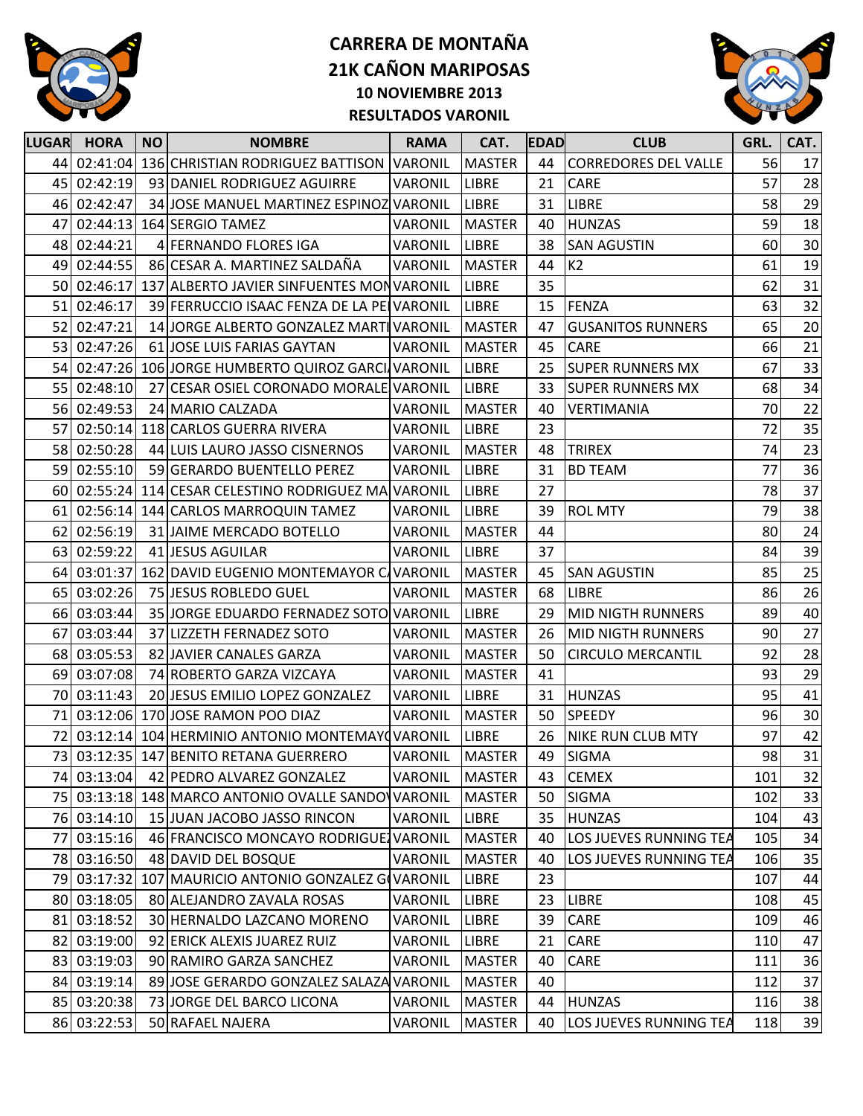



| <b>LUGAR</b> | <b>HORA</b> | <b>NO</b> | <b>NOMBRE</b>                                       | <b>RAMA</b>    | CAT.          | <b>IEDADI</b> | <b>CLUB</b>                 | GRL. | CAT. |
|--------------|-------------|-----------|-----------------------------------------------------|----------------|---------------|---------------|-----------------------------|------|------|
|              | 44 02:41:04 |           | 136 CHRISTIAN RODRIGUEZ BATTISON VARONIL            |                | <b>MASTER</b> | 44            | <b>CORREDORES DEL VALLE</b> | 56   | 17   |
| 45           | 02:42:19    |           | 93 DANIEL RODRIGUEZ AGUIRRE                         | VARONIL        | <b>LIBRE</b>  | 21            | CARE                        | 57   | 28   |
| 46           | 02:42:47    |           | 34 JOSE MANUEL MARTINEZ ESPINOZ VARONIL             |                | <b>LIBRE</b>  | 31            | <b>LIBRE</b>                | 58   | 29   |
| 47           | 02:44:13    |           | 164 SERGIO TAMEZ                                    | VARONIL        | <b>MASTER</b> | 40            | <b>HUNZAS</b>               | 59   | 18   |
| 48           | 02:44:21    |           | 4 FERNANDO FLORES IGA                               | VARONIL        | <b>LIBRE</b>  | 38            | <b>SAN AGUSTIN</b>          | 60   | 30   |
|              | 49 02:44:55 |           | 86 CESAR A. MARTINEZ SALDAÑA                        | <b>VARONIL</b> | <b>MASTER</b> | 44            | K2                          | 61   | 19   |
| 50           | 02:46:17    |           | 137 ALBERTO JAVIER SINFUENTES MONVARONIL            |                | <b>LIBRE</b>  | 35            |                             | 62   | 31   |
| 51           | 02:46:17    |           | 39 FERRUCCIO ISAAC FENZA DE LA PE VARONIL           |                | <b>LIBRE</b>  | 15            | <b>FENZA</b>                | 63   | 32   |
| 52           | 02:47:21    |           | 14 JORGE ALBERTO GONZALEZ MARTIVARONIL              |                | <b>MASTER</b> | 47            | <b>GUSANITOS RUNNERS</b>    | 65   | 20   |
| 53           | 02:47:26    |           | 61 JOSE LUIS FARIAS GAYTAN                          | <b>VARONIL</b> | <b>MASTER</b> | 45            | CARE                        | 66   | 21   |
| 54           |             |           | 02:47:26 106 JORGE HUMBERTO QUIROZ GARCI VARONIL    |                | <b>LIBRE</b>  | 25            | <b>SUPER RUNNERS MX</b>     | 67   | 33   |
| 55           | 02:48:10    |           | 27 CESAR OSIEL CORONADO MORALE VARONIL              |                | <b>LIBRE</b>  | 33            | <b>SUPER RUNNERS MX</b>     | 68   | 34   |
| 56           | 02:49:53    |           | 24 MARIO CALZADA                                    | VARONIL        | <b>MASTER</b> | 40            | VERTIMANIA                  | 70   | 22   |
| 57           | 02:50:14    |           | 118 CARLOS GUERRA RIVERA                            | VARONIL        | <b>LIBRE</b>  | 23            |                             | 72   | 35   |
| 58           | 02:50:28    |           | 44 LUIS LAURO JASSO CISNERNOS                       | VARONIL        | <b>MASTER</b> | 48            | <b>TRIREX</b>               | 74   | 23   |
| 59           | 02:55:10    |           | 59 GERARDO BUENTELLO PEREZ                          | <b>VARONIL</b> | <b>LIBRE</b>  | 31            | <b>BD TEAM</b>              | 77   | 36   |
| 60           | 02:55:24    |           | 114 CESAR CELESTINO RODRIGUEZ MA VARONIL            |                | <b>LIBRE</b>  | 27            |                             | 78   | 37   |
| 61           | 02:56:14    |           | 144 CARLOS MARROQUIN TAMEZ                          | VARONIL        | <b>LIBRE</b>  | 39            | <b>ROL MTY</b>              | 79   | 38   |
| 62           | 02:56:19    |           | 31 JAIME MERCADO BOTELLO                            | VARONIL        | <b>MASTER</b> | 44            |                             | 80   | 24   |
| 63           | 02:59:22    |           | 41 JESUS AGUILAR                                    | VARONIL        | <b>LIBRE</b>  | 37            |                             | 84   | 39   |
| 64           | 03:01:37    |           | 162 DAVID EUGENIO MONTEMAYOR C/ VARONIL             |                | <b>MASTER</b> | 45            | <b>SAN AGUSTIN</b>          | 85   | 25   |
| 65           | 03:02:26    |           | 75 JESUS ROBLEDO GUEL                               | <b>VARONIL</b> | <b>MASTER</b> | 68            | <b>LIBRE</b>                | 86   | 26   |
|              | 66 03:03:44 |           | 35 JORGE EDUARDO FERNADEZ SOTO VARONIL              |                | <b>LIBRE</b>  | 29            | <b>MID NIGTH RUNNERS</b>    | 89   | 40   |
| 67           | 03:03:44    |           | 37 LIZZETH FERNADEZ SOTO                            | VARONIL        | <b>MASTER</b> | 26            | <b>MID NIGTH RUNNERS</b>    | 90   | 27   |
|              | 68 03:05:53 |           | 82 JAVIER CANALES GARZA                             | VARONIL        | <b>MASTER</b> | 50            | <b>CIRCULO MERCANTIL</b>    | 92   | 28   |
| 69           | 03:07:08    |           | 74 ROBERTO GARZA VIZCAYA                            | VARONIL        | <b>MASTER</b> | 41            |                             | 93   | 29   |
| 70           | 03:11:43    |           | 20 JESUS EMILIO LOPEZ GONZALEZ                      | VARONIL        | <b>LIBRE</b>  | 31            | <b>HUNZAS</b>               | 95   | 41   |
| 71           |             |           | 03:12:06 170 JOSE RAMON POO DIAZ                    | <b>VARONIL</b> | <b>MASTER</b> | 50            | <b>SPEEDY</b>               | 96   | 30   |
| 72           |             |           | 03:12:14 104 HERMINIO ANTONIO MONTEMAY TARONIL      |                | LIBRE         | 26            | <b>NIKE RUN CLUB MTY</b>    | 97   | 42   |
|              |             |           | 73 03:12:35 147 BENITO RETANA GUERRERO              | <b>VARONIL</b> | <b>MASTER</b> | 49            | <b>SIGMA</b>                | 98   | 31   |
|              | 74 03:13:04 |           | 42 PEDRO ALVAREZ GONZALEZ                           | VARONIL        | <b>MASTER</b> | 43            | <b>CEMEX</b>                | 101  | 32   |
|              |             |           | 75 03:13:18 148 MARCO ANTONIO OVALLE SANDO VARONIL  |                | <b>MASTER</b> | 50            | <b>SIGMA</b>                | 102  | 33   |
|              | 76 03:14:10 |           | 15 JUAN JACOBO JASSO RINCON                         | VARONIL        | <b>LIBRE</b>  | 35            | <b>HUNZAS</b>               | 104  | 43   |
| 77           | 03:15:16    |           | 46 FRANCISCO MONCAYO RODRIGUE VARONIL               |                | <b>MASTER</b> | 40            | LOS JUEVES RUNNING TEA      | 105  | 34   |
|              | 78 03:16:50 |           | 48 DAVID DEL BOSQUE                                 | VARONIL        | <b>MASTER</b> | 40            | LOS JUEVES RUNNING TEA      | 106  | 35   |
|              |             |           | 79 03:17:32 107 MAURICIO ANTONIO GONZALEZ GOVARONIL |                | LIBRE         | 23            |                             | 107  | 44   |
|              | 80 03:18:05 |           | 80 ALEJANDRO ZAVALA ROSAS                           | VARONIL        | <b>LIBRE</b>  | 23            | <b>LIBRE</b>                | 108  | 45   |
|              | 81 03:18:52 |           | 30 HERNALDO LAZCANO MORENO                          | VARONIL        | LIBRE         | 39            | <b>CARE</b>                 | 109  | 46   |
|              | 82 03:19:00 |           | 92 ERICK ALEXIS JUAREZ RUIZ                         | VARONIL        | <b>LIBRE</b>  | 21            | CARE                        | 110  | 47   |
| 83           | 03:19:03    |           | 90 RAMIRO GARZA SANCHEZ                             | VARONIL        | <b>MASTER</b> | 40            | CARE                        | 111  | 36   |
|              | 84 03:19:14 |           | 89 JOSE GERARDO GONZALEZ SALAZA VARONIL             |                | <b>MASTER</b> | 40            |                             | 112  | 37   |
|              | 85 03:20:38 |           | 73 JORGE DEL BARCO LICONA                           | VARONIL        | <b>MASTER</b> | 44            | <b>HUNZAS</b>               | 116  | 38   |
|              | 86 03:22:53 |           | 50 RAFAEL NAJERA                                    | VARONIL        | <b>MASTER</b> | 40            | LOS JUEVES RUNNING TEA      | 118  | 39   |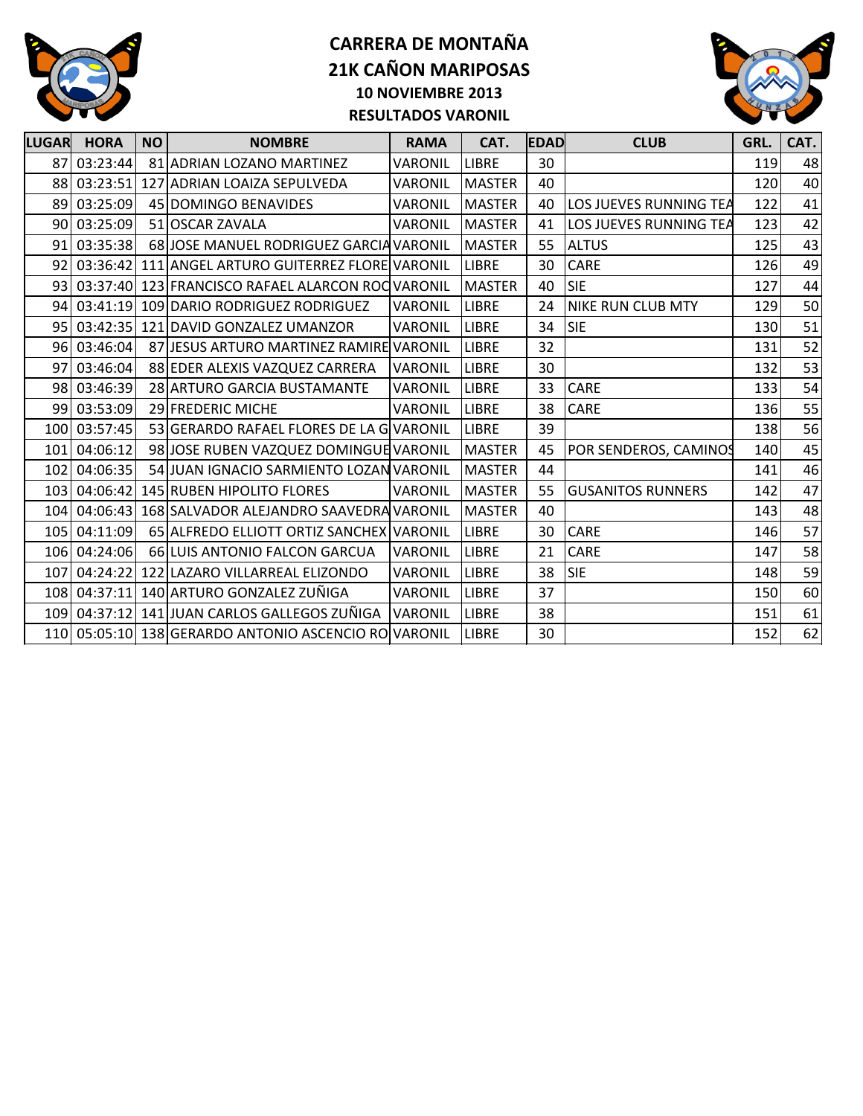



| <b>LUGAR</b> | <b>HORA</b>  | <b>NO</b> | <b>NOMBRE</b>                                        | <b>RAMA</b>    | CAT.          | <b>EDAD</b> | <b>CLUB</b>              | GRL. | CAT. |
|--------------|--------------|-----------|------------------------------------------------------|----------------|---------------|-------------|--------------------------|------|------|
| 87           | 03:23:44     |           | 81 ADRIAN LOZANO MARTINEZ                            | VARONIL        | <b>LIBRE</b>  | 30          |                          | 119  | 48   |
|              |              |           | 88 03:23:51 127 ADRIAN LOAIZA SEPULVEDA              | VARONIL        | <b>MASTER</b> | 40          |                          | 120  | 40   |
| 89           | 03:25:09     |           | 45 DOMINGO BENAVIDES                                 | VARONIL        | <b>MASTER</b> | 40          | LOS JUEVES RUNNING TEA   | 122  | 41   |
|              | 90 03:25:09  |           | 51 OSCAR ZAVALA                                      | VARONIL        | <b>MASTER</b> | 41          | LOS JUEVES RUNNING TEA   | 123  | 42   |
| 91           | 03:35:38     |           | 68 JOSE MANUEL RODRIGUEZ GARCIA VARONIL              |                | <b>MASTER</b> | 55          | <b>ALTUS</b>             | 125  | 43   |
|              |              |           | 92 03:36:42 111 ANGEL ARTURO GUITERREZ FLORE VARONIL |                | <b>LIBRE</b>  | 30          | CARE                     | 126  | 49   |
|              |              |           | 93 03:37:40 123 FRANCISCO RAFAEL ALARCON ROC VARONIL |                | <b>MASTER</b> | 40          | <b>SIE</b>               | 127  | 44   |
|              |              |           | 94 03:41:19 109 DARIO RODRIGUEZ RODRIGUEZ            | VARONIL        | <b>LIBRE</b>  | 24          | <b>NIKE RUN CLUB MTY</b> | 129  | 50   |
| 95           |              |           | 03:42:35 121 DAVID GONZALEZ UMANZOR                  | VARONIL        | <b>LIBRE</b>  | 34          | <b>SIE</b>               | 130  | 51   |
|              | 96 03:46:04  |           | 87 JESUS ARTURO MARTINEZ RAMIRE VARONIL              |                | <b>LIBRE</b>  | 32          |                          | 131  | 52   |
| 97           | 03:46:04     |           | 88 EDER ALEXIS VAZQUEZ CARRERA                       | <b>VARONIL</b> | <b>LIBRE</b>  | 30          |                          | 132  | 53   |
|              | 98 03:46:39  |           | 28 ARTURO GARCIA BUSTAMANTE                          | <b>VARONIL</b> | <b>LIBRE</b>  | 33          | <b>CARE</b>              | 133  | 54   |
|              | 99 03:53:09  |           | 29 FREDERIC MICHE                                    | VARONIL        | <b>LIBRE</b>  | 38          | CARE                     | 136  | 55   |
|              | 100 03:57:45 |           | 53 GERARDO RAFAEL FLORES DE LA GVARONIL              |                | <b>LIBRE</b>  | 39          |                          | 138  | 56   |
| 101          | 04:06:12     |           | 98 JOSE RUBEN VAZQUEZ DOMINGUE VARONIL               |                | <b>MASTER</b> | 45          | POR SENDEROS, CAMINOS    | 140  | 45   |
|              | 102 04:06:35 |           | 54 JUAN IGNACIO SARMIENTO LOZAN VARONIL              |                | <b>MASTER</b> | 44          |                          | 141  | 46   |
|              |              |           | 103 04:06:42 145 RUBEN HIPOLITO FLORES               | <b>VARONIL</b> | <b>MASTER</b> | 55          | <b>GUSANITOS RUNNERS</b> | 142  | 47   |
|              |              |           | 104 04:06:43 168 SALVADOR ALEJANDRO SAAVEDRA VARONIL |                | <b>MASTER</b> | 40          |                          | 143  | 48   |
| 105          | 04:11:09     |           | 65 ALFREDO ELLIOTT ORTIZ SANCHEX VARONIL             |                | <b>LIBRE</b>  | 30          | CARE                     | 146  | 57   |
|              | 106 04:24:06 |           | 66 LUIS ANTONIO FALCON GARCUA                        | <b>VARONIL</b> | <b>LIBRE</b>  | 21          | <b>CARE</b>              | 147  | 58   |
| 107          |              |           | 04:24:22 122 LAZARO VILLARREAL ELIZONDO              | VARONIL        | <b>LIBRE</b>  | 38          | <b>SIE</b>               | 148  | 59   |
|              |              |           | 108 04:37:11 140 ARTURO GONZALEZ ZUÑIGA              | VARONIL        | <b>LIBRE</b>  | 37          |                          | 150  | 60   |
|              |              |           | 109 04:37:12 141 JUAN CARLOS GALLEGOS ZUÑIGA         | <b>VARONIL</b> | <b>LIBRE</b>  | 38          |                          | 151  | 61   |
|              |              |           | 110 05:05:10 138 GERARDO ANTONIO ASCENCIO ROVARONIL  |                | <b>LIBRE</b>  | 30          |                          | 152  | 62   |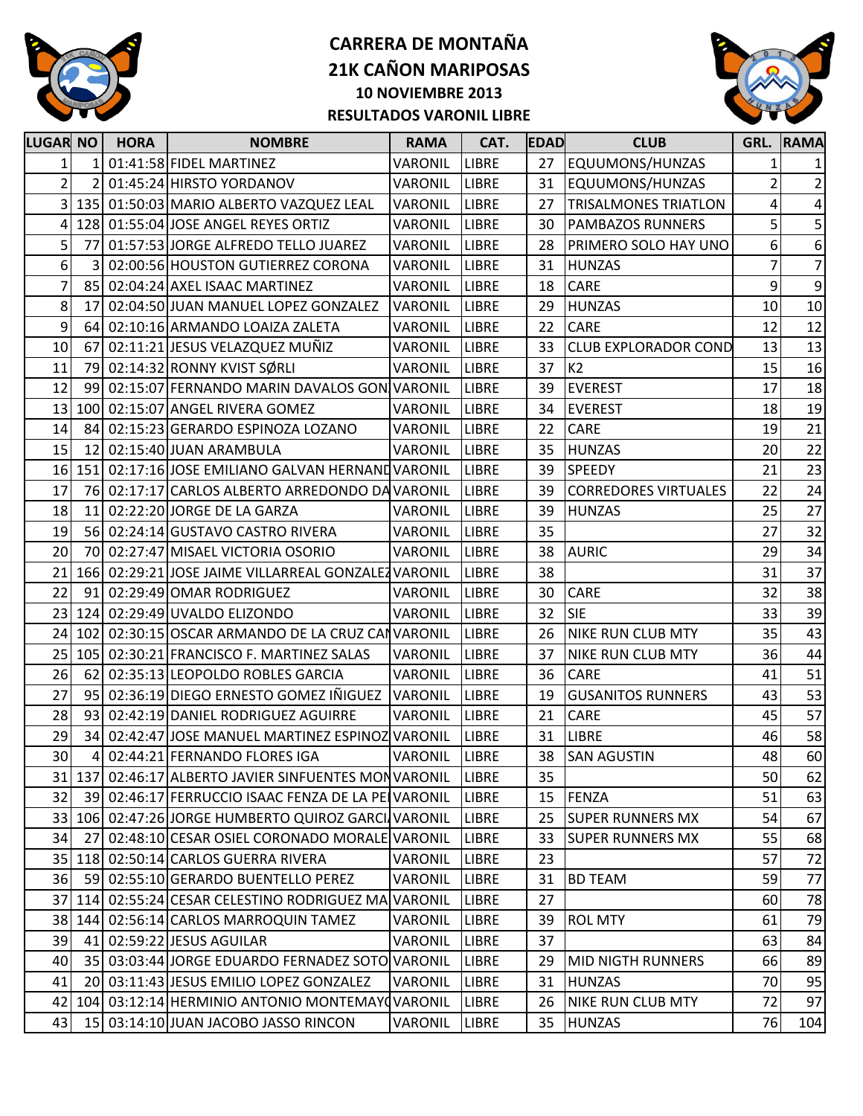

## **CARRERA DE MONTAÑA 21K CAÑON MARIPOSAS 10 NOVIEMBRE 2013 RESULTADOS VARONIL LIBRE**



| <b>LUGAR NO</b> |                 | <b>HORA</b> | <b>NOMBRE</b>                                       | <b>RAMA</b>    | CAT.         | <b>EDAD</b> | <b>CLUB</b>                 |    | <b>GRL. RAMA</b> |
|-----------------|-----------------|-------------|-----------------------------------------------------|----------------|--------------|-------------|-----------------------------|----|------------------|
|                 | $\mathbf{1}$    |             | 01:41:58 FIDEL MARTINEZ                             | VARONIL        | <b>LIBRE</b> | 27          | EQUUMONS/HUNZAS             | 1  | $\mathbf{1}$     |
| 2               | $\overline{2}$  |             | 01:45:24 HIRSTO YORDANOV                            | VARONIL        | <b>LIBRE</b> | 31          | EQUUMONS/HUNZAS             | 2  | $\overline{2}$   |
| $\overline{3}$  |                 |             | 135 01:50:03 MARIO ALBERTO VAZQUEZ LEAL             | <b>VARONIL</b> | <b>LIBRE</b> | 27          | <b>TRISALMONES TRIATLON</b> | 4  | $\overline{4}$   |
| 4               |                 |             | 128 01:55:04 JOSE ANGEL REYES ORTIZ                 | <b>VARONIL</b> | <b>LIBRE</b> | 30          | <b>PAMBAZOS RUNNERS</b>     | 5  | $\mathsf S$      |
| 5               | 77              |             | 01:57:53 JORGE ALFREDO TELLO JUAREZ                 | VARONIL        | <b>LIBRE</b> | 28          | PRIMERO SOLO HAY UNO        | 6  | $\boldsymbol{6}$ |
| 6               | 3               |             | 02:00:56 HOUSTON GUTIERREZ CORONA                   | VARONIL        | <b>LIBRE</b> | 31          | <b>HUNZAS</b>               | 7  | $\overline{7}$   |
| 7               | 85              |             | 02:04:24 AXEL ISAAC MARTINEZ                        | VARONIL        | <b>LIBRE</b> | 18          | CARE                        | 9  | $\overline{9}$   |
| 8               | 17              |             | 02:04:50 JUAN MANUEL LOPEZ GONZALEZ                 | <b>VARONIL</b> | <b>LIBRE</b> | 29          | <b>HUNZAS</b>               | 10 | 10               |
| 9               | 64              |             | 02:10:16 ARMANDO LOAIZA ZALETA                      | VARONIL        | <b>LIBRE</b> | 22          | CARE                        | 12 | 12               |
| 10              | 67              |             | 02:11:21 JESUS VELAZQUEZ MUÑIZ                      | VARONIL        | <b>LIBRE</b> | 33          | <b>CLUB EXPLORADOR COND</b> | 13 | 13               |
| 11              | 79              |             | 02:14:32 RONNY KVIST SØRLI                          | <b>VARONIL</b> | <b>LIBRE</b> | 37          | K2                          | 15 | 16               |
| 12              | 99              |             | 02:15:07 FERNANDO MARIN DAVALOS GON VARONIL         |                | <b>LIBRE</b> | 39          | <b>EVEREST</b>              | 17 | 18               |
| 13              | 100             |             | 02:15:07 ANGEL RIVERA GOMEZ                         | <b>VARONIL</b> | <b>LIBRE</b> | 34          | <b>EVEREST</b>              | 18 | 19               |
| 14              | 84              |             | 02:15:23 GERARDO ESPINOZA LOZANO                    | <b>VARONIL</b> | <b>LIBRE</b> | 22          | CARE                        | 19 | 21               |
| 15              | 12              |             | 02:15:40 JUAN ARAMBULA                              | VARONIL        | <b>LIBRE</b> | 35          | <b>HUNZAS</b>               | 20 | 22               |
| 16              |                 |             | 151 02:17:16 JOSE EMILIANO GALVAN HERNAND VARONIL   |                | LIBRE        | 39          | SPEEDY                      | 21 | 23               |
| 17              | 76              |             | 02:17:17 CARLOS ALBERTO ARREDONDO DA VARONIL        |                | <b>LIBRE</b> | 39          | <b>CORREDORES VIRTUALES</b> | 22 | 24               |
| 18              | 11              |             | 02:22:20 JORGE DE LA GARZA                          | VARONIL        | <b>LIBRE</b> | 39          | <b>HUNZAS</b>               | 25 | 27               |
| 19              |                 |             | 56 02:24:14 GUSTAVO CASTRO RIVERA                   | VARONIL        | <b>LIBRE</b> | 35          |                             | 27 | 32               |
| 20              | 70              |             | 02:27:47 MISAEL VICTORIA OSORIO                     | VARONIL        | <b>LIBRE</b> | 38          | <b>AURIC</b>                | 29 | 34               |
| 21              |                 |             | 166 02:29:21 JOSE JAIME VILLARREAL GONZALEZ VARONIL |                | <b>LIBRE</b> | 38          |                             | 31 | 37               |
| 22              | 91              |             | 02:29:49 OMAR RODRIGUEZ                             | <b>VARONIL</b> | <b>LIBRE</b> | 30          | <b>CARE</b>                 | 32 | 38               |
| 23              |                 |             | 124 02:29:49 UVALDO ELIZONDO                        | <b>VARONIL</b> | <b>LIBRE</b> | 32          | <b>SIE</b>                  | 33 | 39               |
| 24              | 102             |             | 02:30:15 OSCAR ARMANDO DE LA CRUZ CANVARONIL        |                | <b>LIBRE</b> | 26          | <b>NIKE RUN CLUB MTY</b>    | 35 | 43               |
| 25              | 105             |             | 02:30:21 FRANCISCO F. MARTINEZ SALAS                | VARONIL        | <b>LIBRE</b> | 37          | <b>NIKE RUN CLUB MTY</b>    | 36 | 44               |
| 26              | 62              |             | 02:35:13 LEOPOLDO ROBLES GARCIA                     | <b>VARONIL</b> | <b>LIBRE</b> | 36          | <b>CARE</b>                 | 41 | 51               |
| 27              | 95              |             | 02:36:19 DIEGO ERNESTO GOMEZ IÑIGUEZ                | <b>VARONIL</b> | LIBRE        | 19          | <b>GUSANITOS RUNNERS</b>    | 43 | 53               |
| 28              | 93              |             | 02:42:19 DANIEL RODRIGUEZ AGUIRRE                   | <b>VARONIL</b> | <b>LIBRE</b> | 21          | CARE                        | 45 | 57               |
| 29              | 34              |             | 02:42:47 JOSE MANUEL MARTINEZ ESPINOZ VARONIL       |                | LIBRE        | 31          | <b>LIBRE</b>                | 46 | 58               |
| 30              | 4               |             | 02:44:21 FERNANDO FLORES IGA                        | VARONIL        | <b>LIBRE</b> | 38          | <b>SAN AGUSTIN</b>          | 48 | 60               |
|                 | 31 137          |             | 02:46:17 ALBERTO JAVIER SINFUENTES MONVARONIL       |                | <b>LIBRE</b> | 35          |                             | 50 | 62               |
| 32              | 39              |             | 02:46:17 FERRUCCIO ISAAC FENZA DE LA PELVARONIL     |                | <b>LIBRE</b> | 15          | FENZA                       | 51 | 63               |
|                 |                 |             | 33 106 02:47:26 JORGE HUMBERTO QUIROZ GARCI VARONIL |                | <b>LIBRE</b> | 25          | <b>SUPER RUNNERS MX</b>     | 54 | 67               |
| 34              | 27              |             | 02:48:10 CESAR OSIEL CORONADO MORALE VARONIL        |                | <b>LIBRE</b> | 33          | <b>SUPER RUNNERS MX</b>     | 55 | 68               |
| 35              |                 |             | 118 02:50:14 CARLOS GUERRA RIVERA                   | VARONIL        | <b>LIBRE</b> | 23          |                             | 57 | 72               |
| 36              | 59              |             | 02:55:10 GERARDO BUENTELLO PEREZ                    | VARONIL        | LIBRE        | 31          | <b>BD TEAM</b>              | 59 | 77               |
| 37              |                 |             | 114 02:55:24 CESAR CELESTINO RODRIGUEZ MA           | <b>VARONIL</b> | <b>LIBRE</b> | 27          |                             | 60 | 78               |
|                 | 38 144          |             | 02:56:14 CARLOS MARROQUIN TAMEZ                     | VARONIL        | <b>LIBRE</b> | 39          | <b>ROL MTY</b>              | 61 | 79               |
| 39              | 41              |             | 02:59:22 JESUS AGUILAR                              | <b>VARONIL</b> | LIBRE        | 37          |                             | 63 | 84               |
| 40              | 35 <sub>l</sub> |             | 03:03:44 JORGE EDUARDO FERNADEZ SOTO VARONIL        |                | <b>LIBRE</b> | 29          | <b>MID NIGTH RUNNERS</b>    | 66 | 89               |
| 41              | <b>20</b>       |             | 03:11:43 JESUS EMILIO LOPEZ GONZALEZ                | VARONIL        | LIBRE        | 31          | <b>HUNZAS</b>               | 70 | 95               |
| 42              |                 |             | 104 03:12:14 HERMINIO ANTONIO MONTEMAY (VARONIL     |                | <b>LIBRE</b> | 26          | <b>NIKE RUN CLUB MTY</b>    | 72 | 97               |
| 43              | 15              |             | 03:14:10 JUAN JACOBO JASSO RINCON                   | VARONIL        | LIBRE        | 35          | <b>HUNZAS</b>               | 76 | 104              |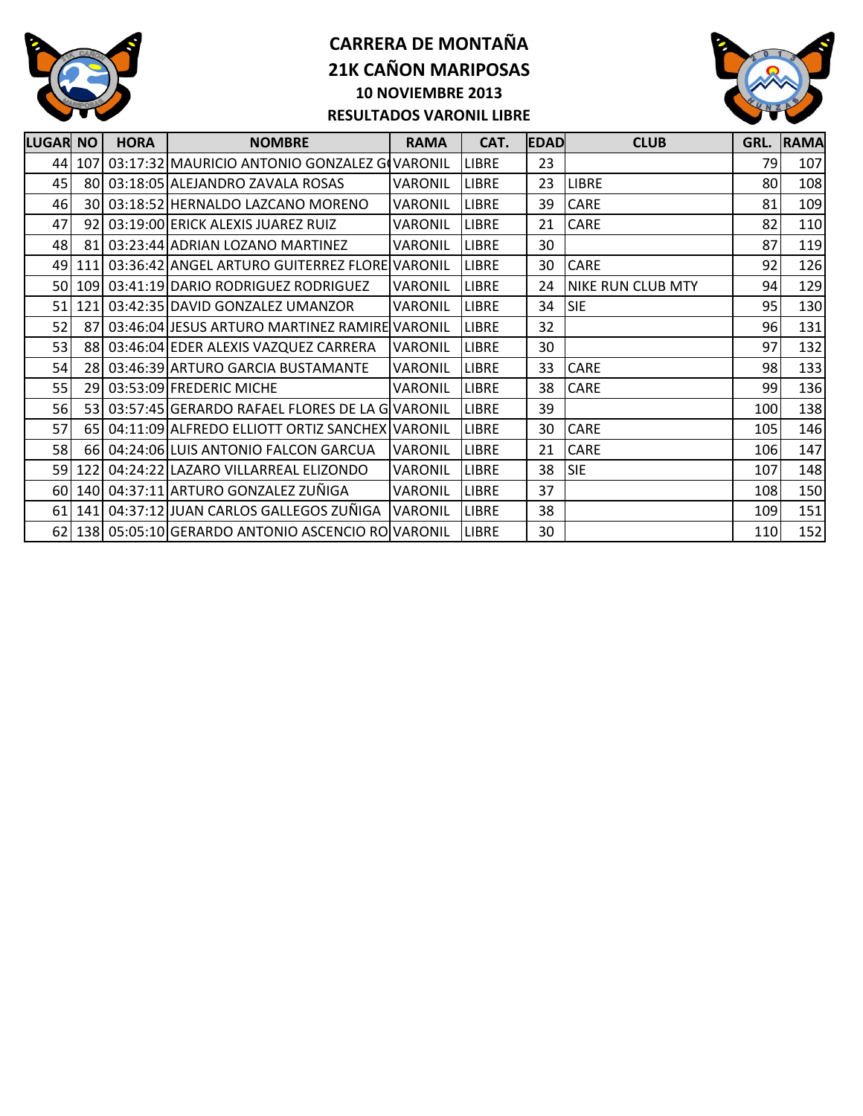

## **CARRERA DE MONTAÑA 21K CAÑON MARIPOSAS 10 NOVIEMBRE 2013 RESULTADOS VARONIL LIBRE**



| <b>LUGAR NO</b> | <b>HORA</b> | <b>NOMBRE</b>                                        | <b>RAMA</b>     | CAT.         | <b>EDAD</b> | <b>CLUB</b>              | GRL. | <b>RAMA</b> |
|-----------------|-------------|------------------------------------------------------|-----------------|--------------|-------------|--------------------------|------|-------------|
|                 |             | 44 107 03:17:32 MAURICIO ANTONIO GONZALEZ GOVARONIL  |                 | <b>LIBRE</b> | 23          |                          | 79   | 107         |
| 45              |             | 80 03:18:05 ALEJANDRO ZAVALA ROSAS                   | <b>VARONIL</b>  | <b>LIBRE</b> | 23          | <b>LIBRE</b>             | 80   | 108         |
| 46              |             | 30 03:18:52 HERNALDO LAZCANO MORENO                  | <b>VARONIL</b>  | <b>LIBRE</b> | 39          | <b>CARE</b>              | 81   | 109         |
| 47              |             | 92 03:19:00 ERICK ALEXIS JUAREZ RUIZ                 | VARONIL         | <b>LIBRE</b> | 21          | CARE                     | 82   | 110         |
| 48              |             | 81 03:23:44 ADRIAN LOZANO MARTINEZ                   | VARONIL         | <b>LIBRE</b> | 30          |                          | 87   | 119         |
|                 |             | 49 111 03:36:42 ANGEL ARTURO GUITERREZ FLORE VARONIL |                 | <b>LIBRE</b> | 30          | CARE                     | 92   | 126         |
|                 |             | 50 109 03:41:19 DARIO RODRIGUEZ RODRIGUEZ            | <b>VARONIL</b>  | <b>LIBRE</b> | 24          | <b>NIKE RUN CLUB MTY</b> | 94   | 129         |
| 51              |             | 121 03:42:35 DAVID GONZALEZ UMANZOR                  | <b>VARONIL</b>  | <b>LIBRE</b> | 34          | <b>SIE</b>               | 95   | 130         |
| 52              |             | 87 03:46:04 JESUS ARTURO MARTINEZ RAMIRE VARONIL     |                 | <b>LIBRE</b> | 32          |                          | 96   | 131         |
| 53              |             | 88 03:46:04 EDER ALEXIS VAZQUEZ CARRERA              | <b>VARONIL</b>  | <b>LIBRE</b> | 30          |                          | 97   | 132         |
| 54              |             | 28 03:46:39 ARTURO GARCIA BUSTAMANTE                 | <b>VARONIL</b>  | <b>LIBRE</b> | 33          | CARE                     | 98   | 133         |
| 55              |             | 29 03:53:09 FREDERIC MICHE                           | <b>VARONIL</b>  | <b>LIBRE</b> | 38          | <b>CARE</b>              | 99   | 136         |
| 56              |             | 53 03:57:45 GERARDO RAFAEL FLORES DE LA GVARONIL     |                 | <b>LIBRE</b> | 39          |                          | 100  | 138         |
| 57              |             | 65 04:11:09 ALFREDO ELLIOTT ORTIZ SANCHEX VARONIL    |                 | <b>LIBRE</b> | 30          | CARE                     | 105  | 146         |
| 58              |             | 66 04:24:06 LUIS ANTONIO FALCON GARCUA               | <b>VARONIL</b>  | <b>LIBRE</b> | 21          | <b>CARE</b>              | 106  | 147         |
|                 |             | 59 122 04:24:22 LAZARO VILLARREAL ELIZONDO           | <b>VARONIL</b>  | <b>LIBRE</b> | 38          | <b>SIE</b>               | 107  | 148         |
|                 |             | 60 140 04:37:11 ARTURO GONZALEZ ZUÑIGA               | <b>VARONIL</b>  | <b>LIBRE</b> | 37          |                          | 108  | 150         |
|                 |             | 61   141   04:37:12 JJUAN CARLOS GALLEGOS ZUÑIGA     | <b>IVARONIL</b> | <b>LIBRE</b> | 38          |                          | 109  | 151         |
|                 |             | 62 138 05:05:10 GERARDO ANTONIO ASCENCIO ROVARONIL   |                 | <b>LIBRE</b> | 30          |                          | 110  | 152         |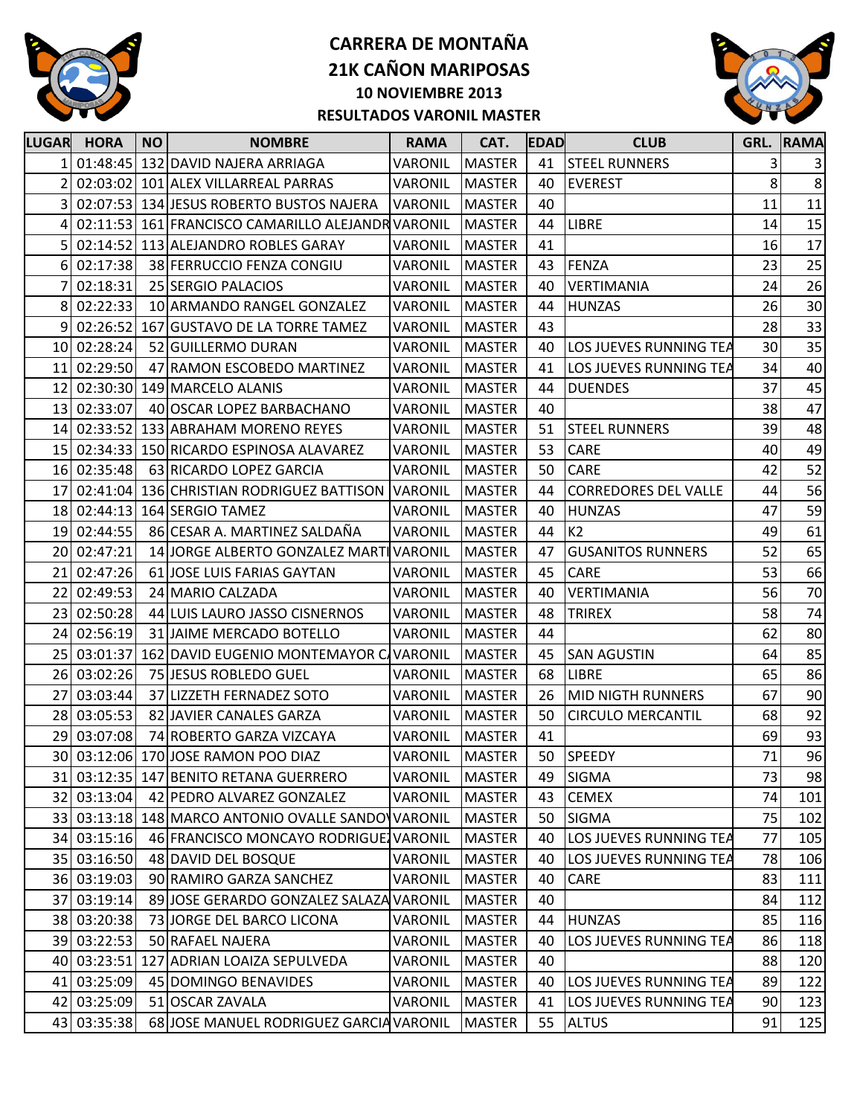

### **CARRERA DE MONTAÑA 21K CAÑON MARIPOSAS 10 NOVIEMBRE 2013 RESULTADOS VARONIL MASTER**



| <b>MASTER</b><br>01:48:45 132 DAVID NAJERA ARRIAGA<br>VARONIL<br><b>STEEL RUNNERS</b><br>41<br>3<br>8<br><b>EVEREST</b><br>02:03:02 101 ALEX VILLARREAL PARRAS<br><b>VARONIL</b><br><b>MASTER</b><br>40<br>11<br>3<br>02:07:53 134 JESUS ROBERTO BUSTOS NAJERA<br><b>VARONIL</b><br><b>MASTER</b><br>40<br><b>LIBRE</b><br>02:11:53 161 FRANCISCO CAMARILLO ALEJANDR VARONIL<br><b>MASTER</b><br>44<br>14<br>4<br>02:14:52 113 ALEJANDRO ROBLES GARAY<br>VARONIL<br><b>MASTER</b><br>41<br>16<br>23<br>02:17:38<br>FENZA<br>38 FERRUCCIO FENZA CONGIU<br>VARONIL<br><b>MASTER</b><br>43<br>6<br>24<br>02:18:31<br>25 SERGIO PALACIOS<br>VARONIL<br><b>MASTER</b><br>40<br><b>VERTIMANIA</b><br>26<br>02:22:33<br>10 ARMANDO RANGEL GONZALEZ<br><b>VARONIL</b><br><b>MASTER</b><br>44<br><b>HUNZAS</b><br>8 | 3<br>8<br>11<br>15<br>17<br>25<br>26<br>30<br>33<br>40 |
|------------------------------------------------------------------------------------------------------------------------------------------------------------------------------------------------------------------------------------------------------------------------------------------------------------------------------------------------------------------------------------------------------------------------------------------------------------------------------------------------------------------------------------------------------------------------------------------------------------------------------------------------------------------------------------------------------------------------------------------------------------------------------------------------------------|--------------------------------------------------------|
|                                                                                                                                                                                                                                                                                                                                                                                                                                                                                                                                                                                                                                                                                                                                                                                                            |                                                        |
|                                                                                                                                                                                                                                                                                                                                                                                                                                                                                                                                                                                                                                                                                                                                                                                                            | 35                                                     |
|                                                                                                                                                                                                                                                                                                                                                                                                                                                                                                                                                                                                                                                                                                                                                                                                            |                                                        |
|                                                                                                                                                                                                                                                                                                                                                                                                                                                                                                                                                                                                                                                                                                                                                                                                            |                                                        |
|                                                                                                                                                                                                                                                                                                                                                                                                                                                                                                                                                                                                                                                                                                                                                                                                            |                                                        |
|                                                                                                                                                                                                                                                                                                                                                                                                                                                                                                                                                                                                                                                                                                                                                                                                            |                                                        |
|                                                                                                                                                                                                                                                                                                                                                                                                                                                                                                                                                                                                                                                                                                                                                                                                            |                                                        |
|                                                                                                                                                                                                                                                                                                                                                                                                                                                                                                                                                                                                                                                                                                                                                                                                            |                                                        |
| 9<br>02:26:52<br>43<br>28<br>167 GUSTAVO DE LA TORRE TAMEZ<br><b>VARONIL</b><br><b>MASTER</b>                                                                                                                                                                                                                                                                                                                                                                                                                                                                                                                                                                                                                                                                                                              |                                                        |
| 30<br>10 02:28:24<br>52 GUILLERMO DURAN<br>VARONIL<br><b>MASTER</b><br>40<br>LOS JUEVES RUNNING TEA                                                                                                                                                                                                                                                                                                                                                                                                                                                                                                                                                                                                                                                                                                        |                                                        |
| 02:29:50<br>34<br>47 RAMON ESCOBEDO MARTINEZ<br>VARONIL<br><b>MASTER</b><br>41<br>LOS JUEVES RUNNING TEA<br>11 <sup>1</sup>                                                                                                                                                                                                                                                                                                                                                                                                                                                                                                                                                                                                                                                                                |                                                        |
| 37<br>02:30:30 149 MARCELO ALANIS<br>VARONIL<br><b>MASTER</b><br><b>DUENDES</b><br>12<br>44                                                                                                                                                                                                                                                                                                                                                                                                                                                                                                                                                                                                                                                                                                                | 45                                                     |
| 02:33:07<br>38<br>40 OSCAR LOPEZ BARBACHANO<br><b>VARONIL</b><br><b>MASTER</b><br>40<br>13 <sup>1</sup>                                                                                                                                                                                                                                                                                                                                                                                                                                                                                                                                                                                                                                                                                                    | 47                                                     |
| 02:33:52<br>133 ABRAHAM MORENO REYES<br>51<br>39<br>14<br>VARONIL<br><b>MASTER</b><br><b>STEEL RUNNERS</b>                                                                                                                                                                                                                                                                                                                                                                                                                                                                                                                                                                                                                                                                                                 | 48                                                     |
| 02:34:33 150 RICARDO ESPINOSA ALAVAREZ<br>VARONIL<br><b>MASTER</b><br>53<br><b>CARE</b><br>40<br>15 <sub>l</sub>                                                                                                                                                                                                                                                                                                                                                                                                                                                                                                                                                                                                                                                                                           | 49                                                     |
| 42<br>02:35:48<br>50<br><b>CARE</b><br>63 RICARDO LOPEZ GARCIA<br>VARONIL<br><b>MASTER</b><br>16I                                                                                                                                                                                                                                                                                                                                                                                                                                                                                                                                                                                                                                                                                                          | 52                                                     |
| 17<br>02:41:04<br>136 CHRISTIAN RODRIGUEZ BATTISON<br><b>VARONIL</b><br><b>MASTER</b><br>44<br><b>CORREDORES DEL VALLE</b><br>44                                                                                                                                                                                                                                                                                                                                                                                                                                                                                                                                                                                                                                                                           | 56                                                     |
| 18 02:44:13 164 SERGIO TAMEZ<br>47<br>VARONIL<br><b>MASTER</b><br>40<br><b>HUNZAS</b>                                                                                                                                                                                                                                                                                                                                                                                                                                                                                                                                                                                                                                                                                                                      | 59                                                     |
| 86 CESAR A. MARTINEZ SALDAÑA<br>K2<br>02:44:55<br><b>VARONIL</b><br>44<br>49<br>19<br><b>MASTER</b>                                                                                                                                                                                                                                                                                                                                                                                                                                                                                                                                                                                                                                                                                                        | 61                                                     |
| 52<br>14 JORGE ALBERTO GONZALEZ MARTIVARONIL<br>02:47:21<br><b>MASTER</b><br><b>GUSANITOS RUNNERS</b><br>20<br>47                                                                                                                                                                                                                                                                                                                                                                                                                                                                                                                                                                                                                                                                                          | 65                                                     |
| 02:47:26<br>CARE<br>53<br>21<br>61 JOSE LUIS FARIAS GAYTAN<br>VARONIL<br><b>MASTER</b><br>45                                                                                                                                                                                                                                                                                                                                                                                                                                                                                                                                                                                                                                                                                                               | 66                                                     |
| 02:49:53<br>24 MARIO CALZADA<br><b>VARONIL</b><br><b>MASTER</b><br>56<br>22<br>40<br>VERTIMANIA                                                                                                                                                                                                                                                                                                                                                                                                                                                                                                                                                                                                                                                                                                            | 70                                                     |
| 02:50:28<br>23<br>44 LUIS LAURO JASSO CISNERNOS<br><b>VARONIL</b><br><b>MASTER</b><br>48<br><b>TRIREX</b><br>58                                                                                                                                                                                                                                                                                                                                                                                                                                                                                                                                                                                                                                                                                            | 74                                                     |
| 62<br>24<br>02:56:19<br>31 JAIME MERCADO BOTELLO<br>VARONIL<br><b>MASTER</b><br>44                                                                                                                                                                                                                                                                                                                                                                                                                                                                                                                                                                                                                                                                                                                         | 80                                                     |
| 64<br>03:01:37<br>162 DAVID EUGENIO MONTEMAYOR C VARONIL<br><b>MASTER</b><br>45<br><b>SAN AGUSTIN</b><br>25                                                                                                                                                                                                                                                                                                                                                                                                                                                                                                                                                                                                                                                                                                | 85                                                     |
| 03:02:26<br>68<br><b>LIBRE</b><br>65<br>26<br>75 JESUS ROBLEDO GUEL<br>VARONIL<br><b>MASTER</b>                                                                                                                                                                                                                                                                                                                                                                                                                                                                                                                                                                                                                                                                                                            | 86                                                     |
| 67<br>27<br>03:03:44<br>37 LIZZETH FERNADEZ SOTO<br>VARONIL<br><b>MASTER</b><br><b>MID NIGTH RUNNERS</b><br>26                                                                                                                                                                                                                                                                                                                                                                                                                                                                                                                                                                                                                                                                                             | 90                                                     |
| 03:05:53<br>50<br>28<br>82 JAVIER CANALES GARZA<br>VARONIL<br><b>MASTER</b><br><b>CIRCULO MERCANTIL</b><br>68                                                                                                                                                                                                                                                                                                                                                                                                                                                                                                                                                                                                                                                                                              | 92                                                     |
| 29<br>03:07:08<br>74 ROBERTO GARZA VIZCAYA<br>69<br>VARONIL<br><b>MASTER</b><br>41                                                                                                                                                                                                                                                                                                                                                                                                                                                                                                                                                                                                                                                                                                                         | 93                                                     |
| 30 03:12:06 170 JOSE RAMON POO DIAZ<br>50<br>SPEEDY<br>71<br><b>VARONIL</b><br><b>MASTER</b>                                                                                                                                                                                                                                                                                                                                                                                                                                                                                                                                                                                                                                                                                                               | 96                                                     |
| 31 03:12:35 147 BENITO RETANA GUERRERO<br><b>MASTER</b><br><b>SIGMA</b><br>VARONIL<br>73<br>49                                                                                                                                                                                                                                                                                                                                                                                                                                                                                                                                                                                                                                                                                                             | 98                                                     |
| 32 03:13:04<br>74<br>42 PEDRO ALVAREZ GONZALEZ<br>VARONIL<br><b>MASTER</b><br><b>CEMEX</b><br>43                                                                                                                                                                                                                                                                                                                                                                                                                                                                                                                                                                                                                                                                                                           | 101                                                    |
| 03:13:18 148 MARCO ANTONIO OVALLE SANDO VARONIL<br>75<br>33<br><b>MASTER</b><br>50<br><b>SIGMA</b>                                                                                                                                                                                                                                                                                                                                                                                                                                                                                                                                                                                                                                                                                                         | 102                                                    |
| 03:15:16<br>46 FRANCISCO MONCAYO RODRIGUE VARONIL<br><b>MASTER</b><br>77<br>40<br><b>LOS JUEVES RUNNING TEA</b><br>34                                                                                                                                                                                                                                                                                                                                                                                                                                                                                                                                                                                                                                                                                      | 105                                                    |
| 35 03:16:50<br>48 DAVID DEL BOSQUE<br>VARONIL<br><b>MASTER</b><br>40<br>LOS JUEVES RUNNING TEA<br>78                                                                                                                                                                                                                                                                                                                                                                                                                                                                                                                                                                                                                                                                                                       | 106                                                    |
| 36 03:19:03<br>90 RAMIRO GARZA SANCHEZ<br>VARONIL<br><b>MASTER</b><br>83<br>40<br><b>CARE</b>                                                                                                                                                                                                                                                                                                                                                                                                                                                                                                                                                                                                                                                                                                              | 111                                                    |
| 37 03:19:14<br>89 JOSE GERARDO GONZALEZ SALAZA VARONIL<br><b>MASTER</b><br>40<br>84                                                                                                                                                                                                                                                                                                                                                                                                                                                                                                                                                                                                                                                                                                                        | 112                                                    |
| 03:20:38<br>85<br>38<br>73 JORGE DEL BARCO LICONA<br>VARONIL<br><b>MASTER</b><br>44<br><b>HUNZAS</b>                                                                                                                                                                                                                                                                                                                                                                                                                                                                                                                                                                                                                                                                                                       | 116                                                    |
| 03:22:53<br>50 RAFAEL NAJERA<br>VARONIL<br><b>MASTER</b><br>39<br>40<br>LOS JUEVES RUNNING TEA<br>86                                                                                                                                                                                                                                                                                                                                                                                                                                                                                                                                                                                                                                                                                                       | 118                                                    |
| 03:23:51<br>127 ADRIAN LOAIZA SEPULVEDA<br>VARONIL<br><b>MASTER</b><br>40<br>88<br>40I                                                                                                                                                                                                                                                                                                                                                                                                                                                                                                                                                                                                                                                                                                                     | 120                                                    |
| 03:25:09<br>45 DOMINGO BENAVIDES<br>VARONIL<br><b>MASTER</b><br><b>LOS JUEVES RUNNING TEA</b><br>89<br>41<br>40                                                                                                                                                                                                                                                                                                                                                                                                                                                                                                                                                                                                                                                                                            | 122                                                    |
| 03:25:09<br>51 OSCAR ZAVALA<br>VARONIL<br><b>MASTER</b><br>41<br><b>LOS JUEVES RUNNING TEA</b><br>90<br>42                                                                                                                                                                                                                                                                                                                                                                                                                                                                                                                                                                                                                                                                                                 | 123                                                    |
| 43 03:35:38<br>68 JOSE MANUEL RODRIGUEZ GARCIA VARONIL<br><b>MASTER</b><br>55<br><b>ALTUS</b><br>91                                                                                                                                                                                                                                                                                                                                                                                                                                                                                                                                                                                                                                                                                                        | 125                                                    |